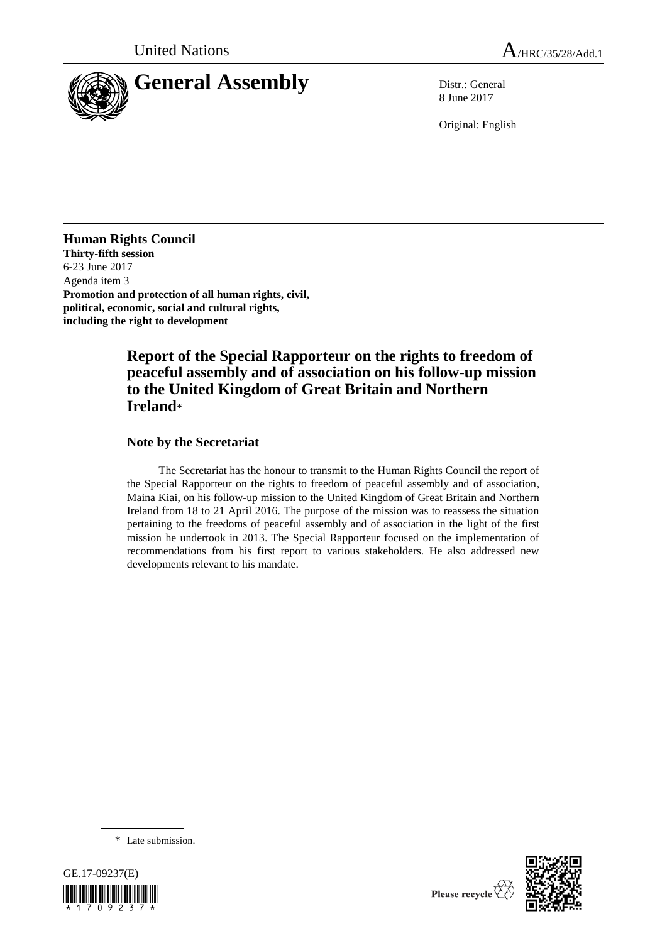

8 June 2017

Original: English

# **Human Rights Council**

**Thirty-fifth session** 6-23 June 2017 Agenda item 3 **Promotion and protection of all human rights, civil, political, economic, social and cultural rights, including the right to development**

# **Report of the Special Rapporteur on the rights to freedom of peaceful assembly and of association on his follow-up mission to the United Kingdom of Great Britain and Northern Ireland**\*

# **Note by the Secretariat**

The Secretariat has the honour to transmit to the Human Rights Council the report of the Special Rapporteur on the rights to freedom of peaceful assembly and of association, Maina Kiai, on his follow-up mission to the United Kingdom of Great Britain and Northern Ireland from 18 to 21 April 2016. The purpose of the mission was to reassess the situation pertaining to the freedoms of peaceful assembly and of association in the light of the first mission he undertook in 2013. The Special Rapporteur focused on the implementation of recommendations from his first report to various stakeholders. He also addressed new developments relevant to his mandate.

\* Late submission.



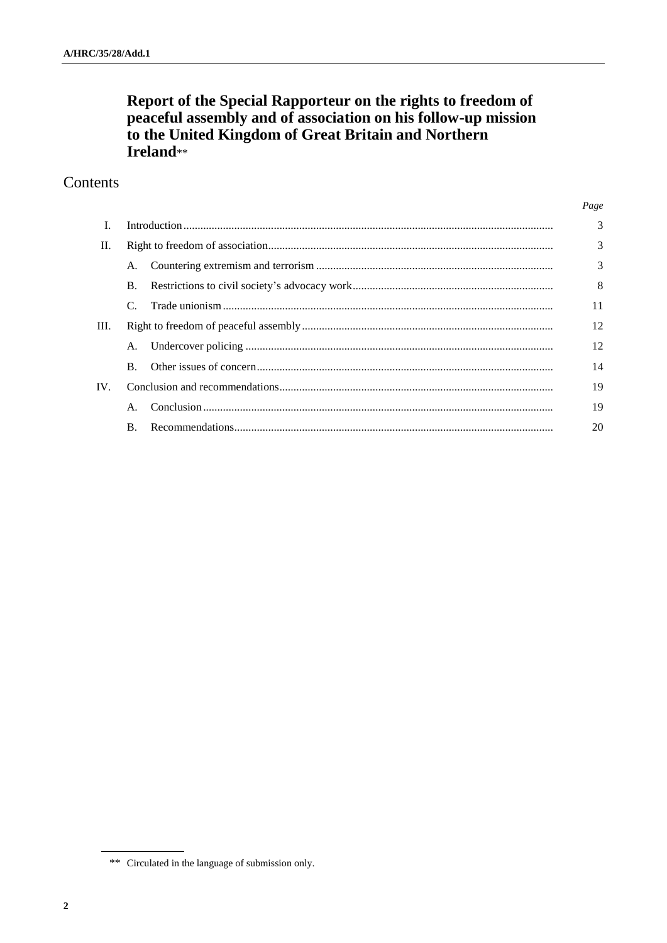# Report of the Special Rapporteur on the rights to freedom of<br>peaceful assembly and of association on his follow-up mission<br>to the United Kingdom of Great Britain and Northern Ireland\*\*

# Contents

|      |            |  | Page           |
|------|------------|--|----------------|
| L    |            |  | $\overline{3}$ |
| П.   |            |  | 3              |
|      |            |  | 3              |
|      | $\bf{B}$ . |  | 8              |
|      |            |  | 11             |
| III. |            |  | 12             |
|      | A.         |  | 12             |
|      | $\bf{B}$ . |  | 14             |
| IV.  |            |  | 19             |
|      |            |  | 19             |
|      | <b>B.</b>  |  | 20             |

<sup>\*\*</sup> Circulated in the language of submission only.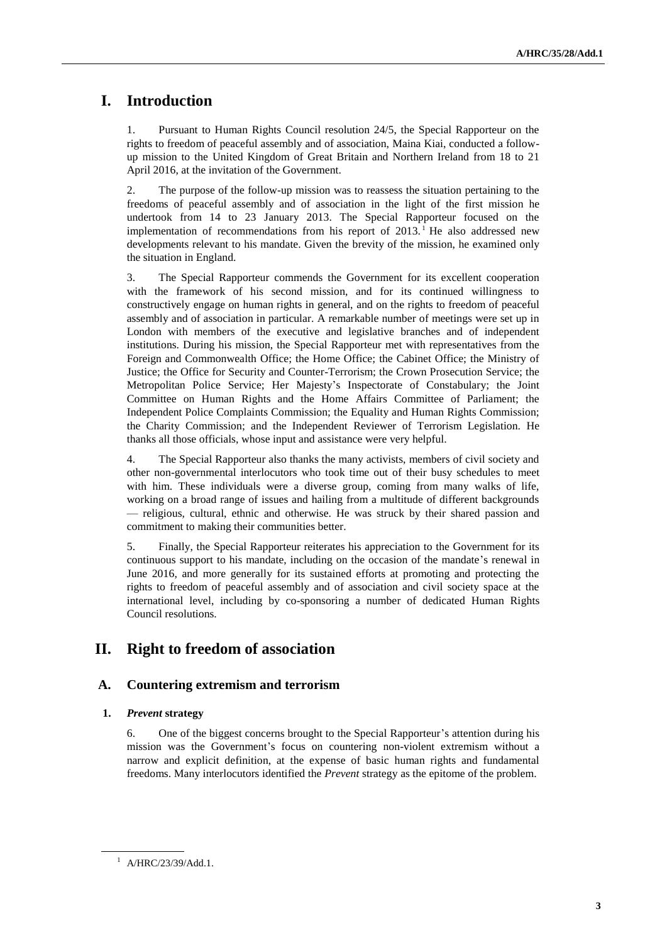# **I. Introduction**

1. Pursuant to Human Rights Council resolution 24/5, the Special Rapporteur on the rights to freedom of peaceful assembly and of association, Maina Kiai, conducted a followup mission to the United Kingdom of Great Britain and Northern Ireland from 18 to 21 April 2016, at the invitation of the Government.

2. The purpose of the follow-up mission was to reassess the situation pertaining to the freedoms of peaceful assembly and of association in the light of the first mission he undertook from 14 to 23 January 2013. The Special Rapporteur focused on the implementation of recommendations from his report of  $2013$ .<sup>1</sup> He also addressed new developments relevant to his mandate. Given the brevity of the mission, he examined only the situation in England.

3. The Special Rapporteur commends the Government for its excellent cooperation with the framework of his second mission, and for its continued willingness to constructively engage on human rights in general, and on the rights to freedom of peaceful assembly and of association in particular. A remarkable number of meetings were set up in London with members of the executive and legislative branches and of independent institutions. During his mission, the Special Rapporteur met with representatives from the Foreign and Commonwealth Office; the Home Office; the Cabinet Office; the Ministry of Justice; the Office for Security and Counter-Terrorism; the Crown Prosecution Service; the Metropolitan Police Service; Her Majesty's Inspectorate of Constabulary; the Joint Committee on Human Rights and the Home Affairs Committee of Parliament; the Independent Police Complaints Commission; the Equality and Human Rights Commission; the Charity Commission; and the Independent Reviewer of Terrorism Legislation. He thanks all those officials, whose input and assistance were very helpful.

4. The Special Rapporteur also thanks the many activists, members of civil society and other non-governmental interlocutors who took time out of their busy schedules to meet with him. These individuals were a diverse group, coming from many walks of life, working on a broad range of issues and hailing from a multitude of different backgrounds — religious, cultural, ethnic and otherwise. He was struck by their shared passion and commitment to making their communities better.

5. Finally, the Special Rapporteur reiterates his appreciation to the Government for its continuous support to his mandate, including on the occasion of the mandate's renewal in June 2016, and more generally for its sustained efforts at promoting and protecting the rights to freedom of peaceful assembly and of association and civil society space at the international level, including by co-sponsoring a number of dedicated Human Rights Council resolutions.

# **II. Right to freedom of association**

## **A. Countering extremism and terrorism**

## **1.** *Prevent* **strategy**

6. One of the biggest concerns brought to the Special Rapporteur's attention during his mission was the Government's focus on countering non-violent extremism without a narrow and explicit definition, at the expense of basic human rights and fundamental freedoms. Many interlocutors identified the *Prevent* strategy as the epitome of the problem.

<sup>&</sup>lt;sup>1</sup> A/HRC/23/39/Add.1.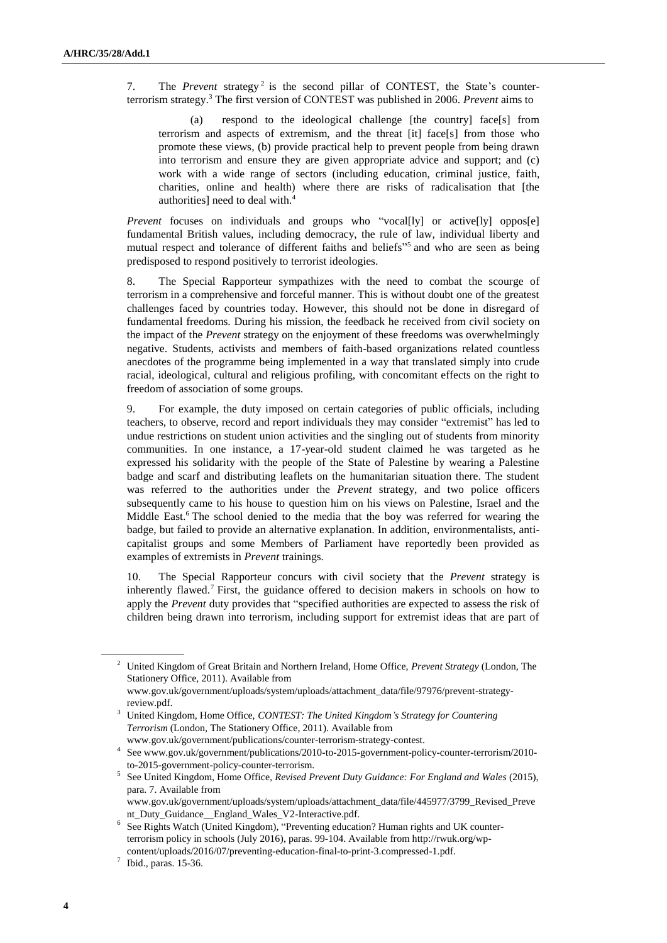7. The *Prevent* strategy<sup>2</sup> is the second pillar of CONTEST, the State's counterterrorism strategy.<sup>3</sup> The first version of CONTEST was published in 2006. *Prevent* aims to

(a) respond to the ideological challenge [the country] face[s] from terrorism and aspects of extremism, and the threat [it] face[s] from those who promote these views, (b) provide practical help to prevent people from being drawn into terrorism and ensure they are given appropriate advice and support; and (c) work with a wide range of sectors (including education, criminal justice, faith, charities, online and health) where there are risks of radicalisation that [the authorities] need to deal with.<sup>4</sup>

*Prevent* focuses on individuals and groups who "vocal[ly] or active[ly] oppos[e] fundamental British values, including democracy, the rule of law, individual liberty and mutual respect and tolerance of different faiths and beliefs<sup>155</sup> and who are seen as being predisposed to respond positively to terrorist ideologies.

8. The Special Rapporteur sympathizes with the need to combat the scourge of terrorism in a comprehensive and forceful manner. This is without doubt one of the greatest challenges faced by countries today. However, this should not be done in disregard of fundamental freedoms. During his mission, the feedback he received from civil society on the impact of the *Prevent* strategy on the enjoyment of these freedoms was overwhelmingly negative. Students, activists and members of faith-based organizations related countless anecdotes of the programme being implemented in a way that translated simply into crude racial, ideological, cultural and religious profiling, with concomitant effects on the right to freedom of association of some groups.

9. For example, the duty imposed on certain categories of public officials, including teachers, to observe, record and report individuals they may consider "extremist" has led to undue restrictions on student union activities and the singling out of students from minority communities. In one instance, a 17-year-old student claimed he was targeted as he expressed his solidarity with the people of the State of Palestine by wearing a Palestine badge and scarf and distributing leaflets on the humanitarian situation there. The student was referred to the authorities under the *Prevent* strategy, and two police officers subsequently came to his house to question him on his views on Palestine, Israel and the Middle East.<sup>6</sup> The school denied to the media that the boy was referred for wearing the badge, but failed to provide an alternative explanation. In addition, environmentalists, anticapitalist groups and some Members of Parliament have reportedly been provided as examples of extremists in *Prevent* trainings.

10. The Special Rapporteur concurs with civil society that the *Prevent* strategy is inherently flawed.<sup>7</sup> First, the guidance offered to decision makers in schools on how to apply the *Prevent* duty provides that "specified authorities are expected to assess the risk of children being drawn into terrorism, including support for extremist ideas that are part of

<sup>2</sup> United Kingdom of Great Britain and Northern Ireland, Home Office, *Prevent Strategy* (London, The Stationery Office, 2011). Available from

www.gov.uk/government/uploads/system/uploads/attachment\_data/file/97976/prevent-strategyreview.pdf.

<sup>3</sup> United Kingdom, Home Office, *CONTEST: The United Kingdom's Strategy for Countering Terrorism* (London, The Stationery Office, 2011). Available from www.gov.uk/government/publications/counter-terrorism-strategy-contest.

<sup>4</sup> See www.gov.uk/government/publications/2010-to-2015-government-policy-counter-terrorism/2010 to-2015-government-policy-counter-terrorism.

<sup>5</sup> See United Kingdom, Home Office, *Revised Prevent Duty Guidance: For England and Wales* (2015), para. 7. Available from

www.gov.uk/government/uploads/system/uploads/attachment\_data/file/445977/3799\_Revised\_Preve nt\_Duty\_Guidance\_\_England\_Wales\_V2-Interactive.pdf.

<sup>&</sup>lt;sup>6</sup> See Rights Watch (United Kingdom), "Preventing education? Human rights and UK counterterrorism policy in schools (July 2016), paras. 99-104. Available from [http://rwuk.org/wp](http://rwuk.org/wp-content/uploads/2016/07/preventing-education-final-to-print-3.compressed-1.pdf)[content/uploads/2016/07/preventing-education-final-to-print-3.compressed-1.pdf.](http://rwuk.org/wp-content/uploads/2016/07/preventing-education-final-to-print-3.compressed-1.pdf)

 $^7$  Ibid., paras. 15-36.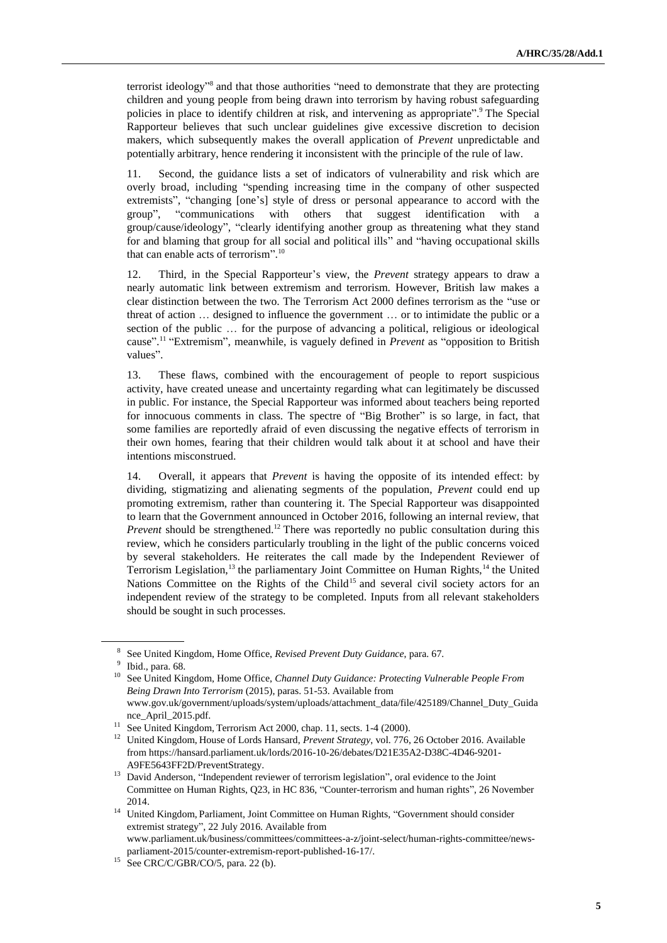terrorist ideology" 8 and that those authorities "need to demonstrate that they are protecting children and young people from being drawn into terrorism by having robust safeguarding policies in place to identify children at risk, and intervening as appropriate".<sup>9</sup> The Special Rapporteur believes that such unclear guidelines give excessive discretion to decision makers, which subsequently makes the overall application of *Prevent* unpredictable and potentially arbitrary, hence rendering it inconsistent with the principle of the rule of law.

11. Second, the guidance lists a set of indicators of vulnerability and risk which are overly broad, including "spending increasing time in the company of other suspected extremists", "changing [one's] style of dress or personal appearance to accord with the group", "communications with others that suggest identification with a group/cause/ideology", "clearly identifying another group as threatening what they stand for and blaming that group for all social and political ills" and "having occupational skills that can enable acts of terrorism". 10

12. Third, in the Special Rapporteur's view, the *Prevent* strategy appears to draw a nearly automatic link between extremism and terrorism. However, British law makes a clear distinction between the two. The Terrorism Act 2000 defines terrorism as the "use or threat of action … designed to influence the government … or to intimidate the public or a section of the public … for the purpose of advancing a political, religious or ideological cause". 11 "Extremism", meanwhile, is vaguely defined in *Prevent* as "opposition to British values".

13. These flaws, combined with the encouragement of people to report suspicious activity, have created unease and uncertainty regarding what can legitimately be discussed in public. For instance, the Special Rapporteur was informed about teachers being reported for innocuous comments in class. The spectre of "Big Brother" is so large, in fact, that some families are reportedly afraid of even discussing the negative effects of terrorism in their own homes, fearing that their children would talk about it at school and have their intentions misconstrued.

14. Overall, it appears that *Prevent* is having the opposite of its intended effect: by dividing, stigmatizing and alienating segments of the population, *Prevent* could end up promoting extremism, rather than countering it. The Special Rapporteur was disappointed to learn that the Government announced in October 2016, following an internal review, that *Prevent* should be strengthened.<sup>12</sup> There was reportedly no public consultation during this review, which he considers particularly troubling in the light of the public concerns voiced by several stakeholders. He reiterates the call made by the Independent Reviewer of Terrorism Legislation,<sup>13</sup> the parliamentary Joint Committee on Human Rights,<sup>14</sup> the United Nations Committee on the Rights of the Child<sup>15</sup> and several civil society actors for an independent review of the strategy to be completed. Inputs from all relevant stakeholders should be sought in such processes.

<sup>8</sup> See United Kingdom, Home Office, *Revised Prevent Duty Guidance*, para. 67.

<sup>&</sup>lt;sup>9</sup> Ibid., para. 68.

<sup>10</sup> See United Kingdom, Home Office, *Channel Duty Guidance: Protecting Vulnerable People From Being Drawn Into Terrorism* (2015), paras. 51-53. Available from www.gov.uk/government/uploads/system/uploads/attachment\_data/file/425189/Channel\_Duty\_Guida nce\_April\_2015.pdf.

<sup>&</sup>lt;sup>11</sup> See United Kingdom, Terrorism Act 2000, chap. 11, sects. 1-4 (2000).

<sup>&</sup>lt;sup>12</sup> United Kingdom, House of Lords Hansard, *Prevent Strategy*, vol. 776, 26 October 2016. Available from [https://hansard.parliament.uk/lords/2016-10-26/debates/D21E35A2-D38C-4D46-9201-](https://hansard.parliament.uk/lords/2016-10-26/debates/D21E35A2-D38C-4D46-9201-A9FE5643FF2D/PreventStrategy) [A9FE5643FF2D/PreventStrategy.](https://hansard.parliament.uk/lords/2016-10-26/debates/D21E35A2-D38C-4D46-9201-A9FE5643FF2D/PreventStrategy)

<sup>&</sup>lt;sup>13</sup> David Anderson, "Independent reviewer of terrorism legislation", oral evidence to the Joint Committee on Human Rights, Q23, in HC 836, "Counter-terrorism and human rights", 26 November 2014.

<sup>&</sup>lt;sup>14</sup> United Kingdom, Parliament, Joint Committee on Human Rights, "Government should consider extremist strategy", 22 July 2016. Available from www.parliament.uk/business/committees/committees-a-z/joint-select/human-rights-committee/news-

parliament-2015/counter-extremism-report-published-16-17/.

See CRC/C/GBR/CO/5, para. 22 (b).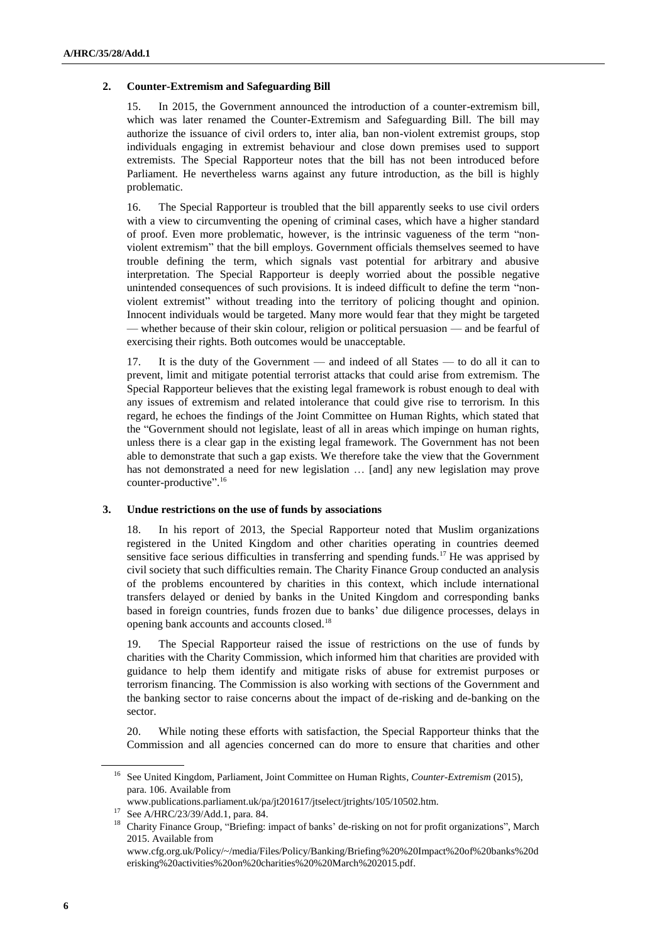## **2. Counter-Extremism and Safeguarding Bill**

15. In 2015, the Government announced the introduction of a counter-extremism bill, which was later renamed the Counter-Extremism and Safeguarding Bill. The bill may authorize the issuance of civil orders to, inter alia, ban non-violent extremist groups, stop individuals engaging in extremist behaviour and close down premises used to support extremists. The Special Rapporteur notes that the bill has not been introduced before Parliament. He nevertheless warns against any future introduction, as the bill is highly problematic.

16. The Special Rapporteur is troubled that the bill apparently seeks to use civil orders with a view to circumventing the opening of criminal cases, which have a higher standard of proof. Even more problematic, however, is the intrinsic vagueness of the term "nonviolent extremism" that the bill employs. Government officials themselves seemed to have trouble defining the term, which signals vast potential for arbitrary and abusive interpretation. The Special Rapporteur is deeply worried about the possible negative unintended consequences of such provisions. It is indeed difficult to define the term "nonviolent extremist" without treading into the territory of policing thought and opinion. Innocent individuals would be targeted. Many more would fear that they might be targeted — whether because of their skin colour, religion or political persuasion — and be fearful of exercising their rights. Both outcomes would be unacceptable.

17. It is the duty of the Government — and indeed of all States — to do all it can to prevent, limit and mitigate potential terrorist attacks that could arise from extremism. The Special Rapporteur believes that the existing legal framework is robust enough to deal with any issues of extremism and related intolerance that could give rise to terrorism. In this regard, he echoes the findings of the Joint Committee on Human Rights, which stated that the "Government should not legislate, least of all in areas which impinge on human rights, unless there is a clear gap in the existing legal framework. The Government has not been able to demonstrate that such a gap exists. We therefore take the view that the Government has not demonstrated a need for new legislation … [and] any new legislation may prove counter-productive". 16

#### **3. Undue restrictions on the use of funds by associations**

18. In his report of 2013, the Special Rapporteur noted that Muslim organizations registered in the United Kingdom and other charities operating in countries deemed sensitive face serious difficulties in transferring and spending funds.<sup>17</sup> He was apprised by civil society that such difficulties remain. The Charity Finance Group conducted an analysis of the problems encountered by charities in this context, which include international transfers delayed or denied by banks in the United Kingdom and corresponding banks based in foreign countries, funds frozen due to banks' due diligence processes, delays in opening bank accounts and accounts closed.<sup>18</sup>

19. The Special Rapporteur raised the issue of restrictions on the use of funds by charities with the Charity Commission, which informed him that charities are provided with guidance to help them identify and mitigate risks of abuse for extremist purposes or terrorism financing. The Commission is also working with sections of the Government and the banking sector to raise concerns about the impact of de-risking and de-banking on the sector.

20. While noting these efforts with satisfaction, the Special Rapporteur thinks that the Commission and all agencies concerned can do more to ensure that charities and other

<sup>16</sup> See United Kingdom, Parliament, Joint Committee on Human Rights, *Counter-Extremism* (2015), para. 106. Available from

www.publications.parliament.uk/pa/jt201617/jtselect/jtrights/105/10502.htm.

<sup>17</sup> See A/HRC/23/39/Add.1, para. 84.

<sup>&</sup>lt;sup>18</sup> Charity Finance Group, "Briefing: impact of banks' de-risking on not for profit organizations", March 2015. Available from

[www.cfg.org.uk/Policy/~/media/Files/Policy/Banking/Briefing%20%20Impact%20of%20banks%20d](http://www.cfg.org.uk/Policy/~/media/Files/Policy/Banking/Briefing%20%20Impact%20of%20banks%20derisking%20activities%20on%20charities%20%20March%202015.pdf) [erisking%20activities%20on%20charities%20%20March%202015.pdf.](http://www.cfg.org.uk/Policy/~/media/Files/Policy/Banking/Briefing%20%20Impact%20of%20banks%20derisking%20activities%20on%20charities%20%20March%202015.pdf)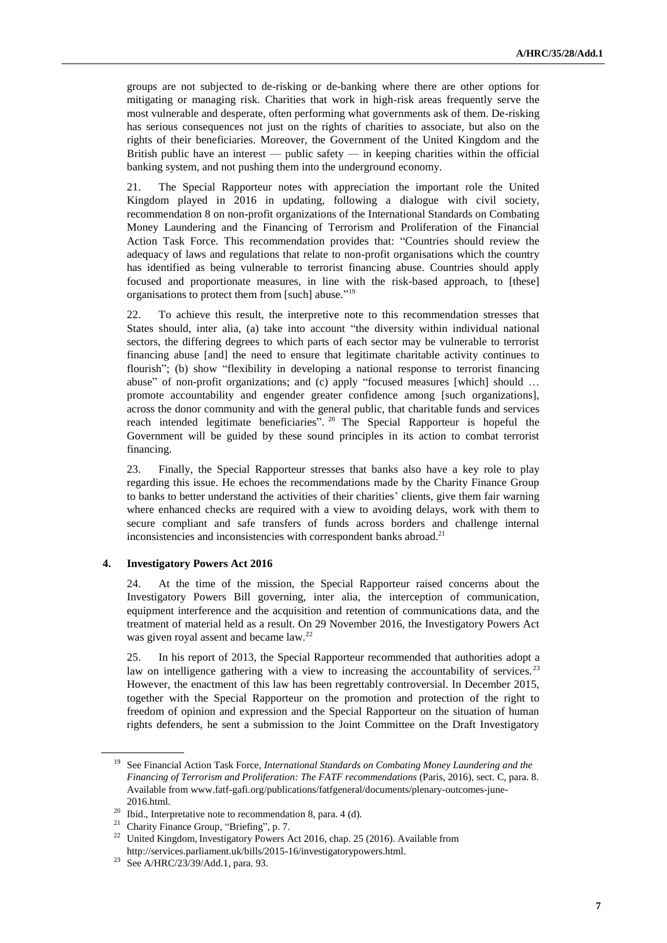groups are not subjected to de-risking or de-banking where there are other options for mitigating or managing risk. Charities that work in high-risk areas frequently serve the most vulnerable and desperate, often performing what governments ask of them. De-risking has serious consequences not just on the rights of charities to associate, but also on the rights of their beneficiaries. Moreover, the Government of the United Kingdom and the British public have an interest — public safety — in keeping charities within the official banking system, and not pushing them into the underground economy.

21. The Special Rapporteur notes with appreciation the important role the United Kingdom played in 2016 in updating, following a dialogue with civil society, recommendation 8 on non-profit organizations of the International Standards on Combating Money Laundering and the Financing of Terrorism and Proliferation of the Financial Action Task Force. This recommendation provides that: "Countries should review the adequacy of laws and regulations that relate to non-profit organisations which the country has identified as being vulnerable to terrorist financing abuse. Countries should apply focused and proportionate measures, in line with the risk-based approach, to [these] organisations to protect them from [such] abuse."<sup>19</sup>

22. To achieve this result, the interpretive note to this recommendation stresses that States should, inter alia, (a) take into account "the diversity within individual national sectors, the differing degrees to which parts of each sector may be vulnerable to terrorist financing abuse [and] the need to ensure that legitimate charitable activity continues to flourish"; (b) show "flexibility in developing a national response to terrorist financing abuse" of non-profit organizations; and (c) apply "focused measures [which] should … promote accountability and engender greater confidence among [such organizations], across the donor community and with the general public, that charitable funds and services reach intended legitimate beneficiaries". <sup>20</sup> The Special Rapporteur is hopeful the Government will be guided by these sound principles in its action to combat terrorist financing.

23. Finally, the Special Rapporteur stresses that banks also have a key role to play regarding this issue. He echoes the recommendations made by the Charity Finance Group to banks to better understand the activities of their charities' clients, give them fair warning where enhanced checks are required with a view to avoiding delays, work with them to secure compliant and safe transfers of funds across borders and challenge internal inconsistencies and inconsistencies with correspondent banks abroad.<sup>21</sup>

#### **4. Investigatory Powers Act 2016**

24. At the time of the mission, the Special Rapporteur raised concerns about the Investigatory Powers Bill governing, inter alia, the interception of communication, equipment interference and the acquisition and retention of communications data, and the treatment of material held as a result. On 29 November 2016, the Investigatory Powers Act was given royal assent and became law.<sup>22</sup>

25. In his report of 2013, the Special Rapporteur recommended that authorities adopt a law on intelligence gathering with a view to increasing the accountability of services.<sup>23</sup> However, the enactment of this law has been regrettably controversial. In December 2015, together with the Special Rapporteur on the promotion and protection of the right to freedom of opinion and expression and the Special Rapporteur on the situation of human rights defenders, he sent a submission to the Joint Committee on the Draft Investigatory

<sup>19</sup> See Financial Action Task Force, *International Standards on Combating Money Laundering and the Financing of Terrorism and Proliferation: The FATF recommendations* (Paris, 2016), sect. C, para. 8. Available fro[m www.fatf-gafi.org/publications/fatfgeneral/documents/plenary-outcomes-june-](http://www.fatf-gafi.org/publications/fatfgeneral/documents/plenary-outcomes-june-2016.html)[2016.html.](http://www.fatf-gafi.org/publications/fatfgeneral/documents/plenary-outcomes-june-2016.html)

<sup>&</sup>lt;sup>20</sup> Ibid., Interpretative note to recommendation 8, para. 4 (d).

<sup>&</sup>lt;sup>21</sup> Charity Finance Group, "Briefing", p. 7.

<sup>&</sup>lt;sup>22</sup> United Kingdom, Investigatory Powers Act 2016, chap. 25 (2016). Available from [http://services.parliament.uk/bills/2015-16/investigatorypowers.html.](http://services.parliament.uk/bills/2015-16/investigatorypowers.html)

<sup>23</sup> See A/HRC/23/39/Add.1, para. 93.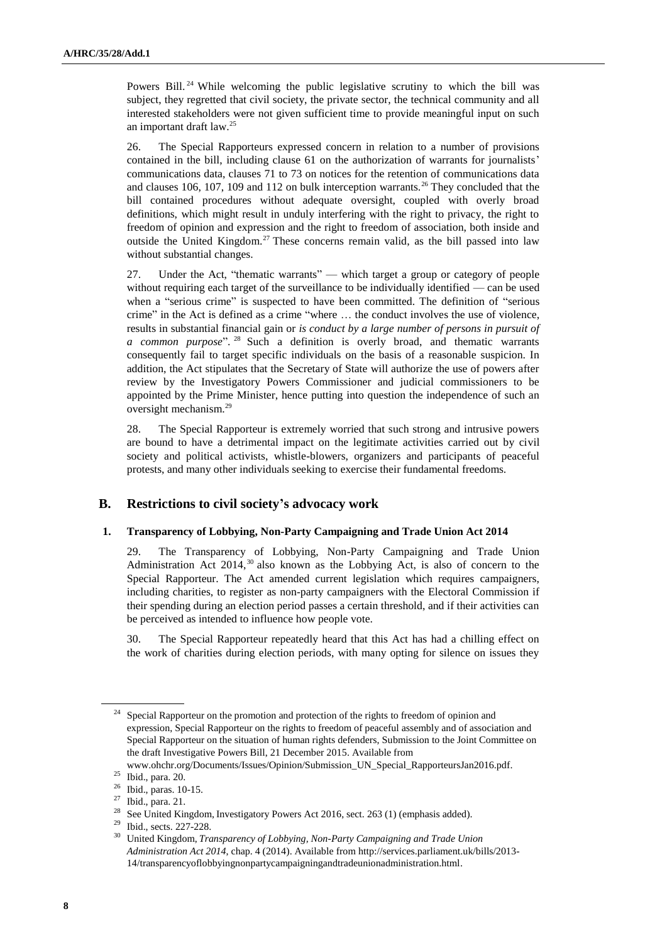Powers Bill.<sup>24</sup> While welcoming the public legislative scrutiny to which the bill was subject, they regretted that civil society, the private sector, the technical community and all interested stakeholders were not given sufficient time to provide meaningful input on such an important draft law.<sup>25</sup>

26. The Special Rapporteurs expressed concern in relation to a number of provisions contained in the bill, including clause 61 on the authorization of warrants for journalists' communications data, clauses 71 to 73 on notices for the retention of communications data and clauses 106, 107, 109 and 112 on bulk interception warrants.<sup>26</sup> They concluded that the bill contained procedures without adequate oversight, coupled with overly broad definitions, which might result in unduly interfering with the right to privacy, the right to freedom of opinion and expression and the right to freedom of association, both inside and outside the United Kingdom.<sup>27</sup> These concerns remain valid, as the bill passed into law without substantial changes.

27. Under the Act, "thematic warrants" — which target a group or category of people without requiring each target of the surveillance to be individually identified — can be used when a "serious crime" is suspected to have been committed. The definition of "serious crime" in the Act is defined as a crime "where … the conduct involves the use of violence, results in substantial financial gain or *is conduct by a large number of persons in pursuit of a common purpose*". <sup>28</sup> Such a definition is overly broad, and thematic warrants consequently fail to target specific individuals on the basis of a reasonable suspicion. In addition, the Act stipulates that the Secretary of State will authorize the use of powers after review by the Investigatory Powers Commissioner and judicial commissioners to be appointed by the Prime Minister, hence putting into question the independence of such an oversight mechanism.<sup>29</sup>

28. The Special Rapporteur is extremely worried that such strong and intrusive powers are bound to have a detrimental impact on the legitimate activities carried out by civil society and political activists, whistle-blowers, organizers and participants of peaceful protests, and many other individuals seeking to exercise their fundamental freedoms.

## **B. Restrictions to civil society's advocacy work**

## **1. Transparency of Lobbying, Non-Party Campaigning and Trade Union Act 2014**

29. The Transparency of Lobbying, Non-Party Campaigning and Trade Union Administration Act  $2014$ ,  $30$  also known as the Lobbying Act, is also of concern to the Special Rapporteur. The Act amended current legislation which requires campaigners, including charities, to register as non-party campaigners with the Electoral Commission if their spending during an election period passes a certain threshold, and if their activities can be perceived as intended to influence how people vote.

30. The Special Rapporteur repeatedly heard that this Act has had a chilling effect on the work of charities during election periods, with many opting for silence on issues they

<sup>&</sup>lt;sup>24</sup> Special Rapporteur on the promotion and protection of the rights to freedom of opinion and expression, Special Rapporteur on the rights to freedom of peaceful assembly and of association and Special Rapporteur on the situation of human rights defenders, Submission to the Joint Committee on the draft Investigative Powers Bill, 21 December 2015. Available from

[www.ohchr.org/Documents/Issues/Opinion/Submission\\_UN\\_Special\\_RapporteursJan2016.pdf.](http://www.ohchr.org/Documents/Issues/Opinion/Submission_UN_Special_RapporteursJan2016.pdf)

<sup>25</sup> Ibid., para. 20.

<sup>26</sup> Ibid., paras. 10-15.

<sup>27</sup> Ibid., para. 21.

<sup>&</sup>lt;sup>28</sup> See United Kingdom, Investigatory Powers Act 2016, sect. 263 (1) (emphasis added).

<sup>29</sup> Ibid., sects. 227-228.

<sup>30</sup> United Kingdom, *Transparency of Lobbying, Non-Party Campaigning and Trade Union Administration Act 2014*, chap. 4 (2014). Available from [http://services.parliament.uk/bills/2013-](http://services.parliament.uk/bills/2013-14/transparencyoflobbyingnonpartycampaigningandtradeunionadministration.html) [14/transparencyoflobbyingnonpartycampaigningandtradeunionadministration.html.](http://services.parliament.uk/bills/2013-14/transparencyoflobbyingnonpartycampaigningandtradeunionadministration.html)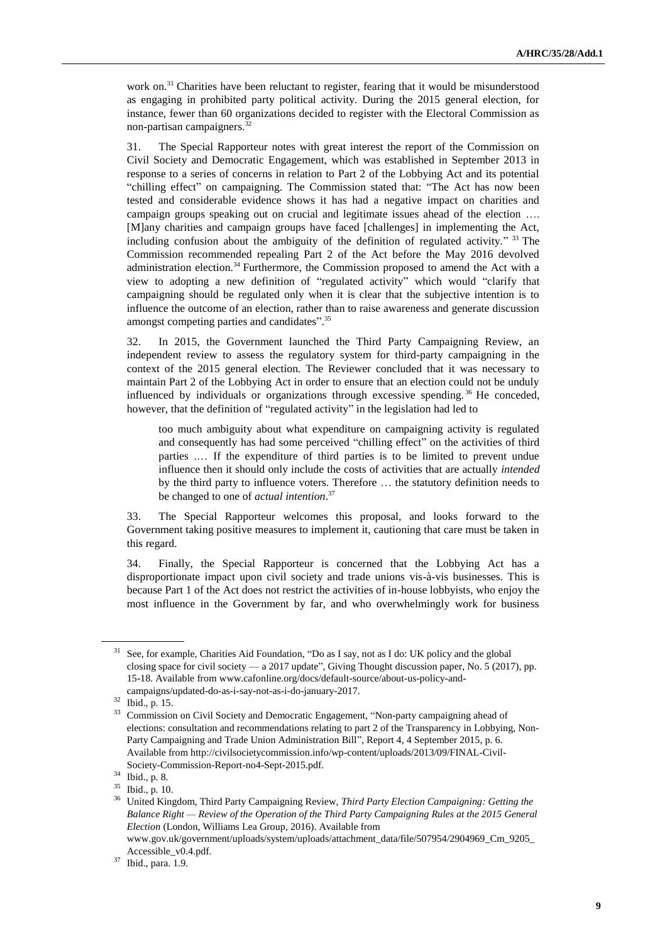work on.<sup>31</sup> Charities have been reluctant to register, fearing that it would be misunderstood as engaging in prohibited party political activity. During the 2015 general election, for instance, fewer than 60 organizations decided to register with the Electoral Commission as non-partisan campaigners.<sup>32</sup>

31. The Special Rapporteur notes with great interest the report of the Commission on Civil Society and Democratic Engagement, which was established in September 2013 in response to a series of concerns in relation to Part 2 of the Lobbying Act and its potential "chilling effect" on campaigning. The Commission stated that: "The Act has now been tested and considerable evidence shows it has had a negative impact on charities and campaign groups speaking out on crucial and legitimate issues ahead of the election …. [M]any charities and campaign groups have faced [challenges] in implementing the Act, including confusion about the ambiguity of the definition of regulated activity."<sup>33</sup> The Commission recommended repealing Part 2 of the Act before the May 2016 devolved administration election.<sup>34</sup> Furthermore, the Commission proposed to amend the Act with a view to adopting a new definition of "regulated activity" which would "clarify that campaigning should be regulated only when it is clear that the subjective intention is to influence the outcome of an election, rather than to raise awareness and generate discussion amongst competing parties and candidates".<sup>35</sup>

32. In 2015, the Government launched the Third Party Campaigning Review, an independent review to assess the regulatory system for third-party campaigning in the context of the 2015 general election. The Reviewer concluded that it was necessary to maintain Part 2 of the Lobbying Act in order to ensure that an election could not be unduly influenced by individuals or organizations through excessive spending.<sup>36</sup> He conceded, however, that the definition of "regulated activity" in the legislation had led to

too much ambiguity about what expenditure on campaigning activity is regulated and consequently has had some perceived "chilling effect" on the activities of third parties .… If the expenditure of third parties is to be limited to prevent undue influence then it should only include the costs of activities that are actually *intended* by the third party to influence voters. Therefore … the statutory definition needs to be changed to one of *actual intention*. 37

33. The Special Rapporteur welcomes this proposal, and looks forward to the Government taking positive measures to implement it, cautioning that care must be taken in this regard.

34. Finally, the Special Rapporteur is concerned that the Lobbying Act has a disproportionate impact upon civil society and trade unions vis-à-vis businesses. This is because Part 1 of the Act does not restrict the activities of in-house lobbyists, who enjoy the most influence in the Government by far, and who overwhelmingly work for business

<sup>&</sup>lt;sup>31</sup> See, for example, Charities Aid Foundation, "Do as I say, not as I do: UK policy and the global closing space for civil society — a 2017 update", Giving Thought discussion paper, No. 5 (2017), pp. 15-18. Available from www.cafonline.org/docs/default-source/about-us-policy-andcampaigns/updated-do-as-i-say-not-as-i-do-january-2017.

<sup>32</sup> Ibid., p. 15.

<sup>&</sup>lt;sup>33</sup> Commission on Civil Society and Democratic Engagement, "Non-party campaigning ahead of elections: consultation and recommendations relating to part 2 of the Transparency in Lobbying, Non-Party Campaigning and Trade Union Administration Bill", Report 4, 4 September 2015, p. 6. Available fro[m http://civilsocietycommission.info/wp-content/uploads/2013/09/FINAL-Civil-](http://civilsocietycommission.info/wp-content/uploads/2013/09/FINAL-Civil-Society-Commission-Report-no4-Sept-2015.pdf)[Society-Commission-Report-no4-Sept-2015.pdf.](http://civilsocietycommission.info/wp-content/uploads/2013/09/FINAL-Civil-Society-Commission-Report-no4-Sept-2015.pdf)

<sup>34</sup> Ibid., p. 8.

<sup>35</sup> Ibid., p. 10.

<sup>36</sup> United Kingdom, Third Party Campaigning Review, *Third Party Election Campaigning: Getting the Balance Right — Review of the Operation of the Third Party Campaigning Rules at the 2015 General Election* (London, Williams Lea Group, 2016). Available from www.gov.uk/government/uploads/system/uploads/attachment\_data/file/507954/2904969\_Cm\_9205\_ Accessible\_v0.4.pdf.

<sup>37</sup> Ibid., para. 1.9.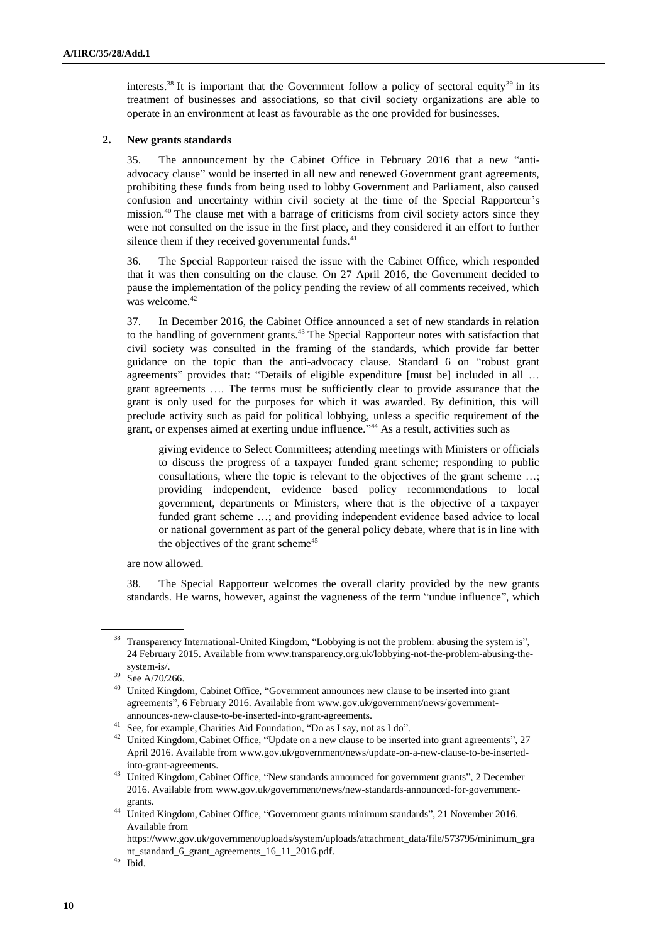interests.<sup>38</sup> It is important that the Government follow a policy of sectoral equity<sup>39</sup> in its treatment of businesses and associations, so that civil society organizations are able to operate in an environment at least as favourable as the one provided for businesses.

## **2. New grants standards**

35. The announcement by the Cabinet Office in February 2016 that a new "antiadvocacy clause" would be inserted in all new and renewed Government grant agreements, prohibiting these funds from being used to lobby Government and Parliament, also caused confusion and uncertainty within civil society at the time of the Special Rapporteur's mission.<sup>40</sup> The clause met with a barrage of criticisms from civil society actors since they were not consulted on the issue in the first place, and they considered it an effort to further silence them if they received governmental funds. $41$ 

36. The Special Rapporteur raised the issue with the Cabinet Office, which responded that it was then consulting on the clause. On 27 April 2016, the Government decided to pause the implementation of the policy pending the review of all comments received, which was welcome.<sup>42</sup>

37. In December 2016, the Cabinet Office announced a set of new standards in relation to the handling of government grants.<sup>43</sup> The Special Rapporteur notes with satisfaction that civil society was consulted in the framing of the standards, which provide far better guidance on the topic than the anti-advocacy clause. Standard 6 on "robust grant agreements" provides that: "Details of eligible expenditure [must be] included in all … grant agreements …. The terms must be sufficiently clear to provide assurance that the grant is only used for the purposes for which it was awarded. By definition, this will preclude activity such as paid for political lobbying, unless a specific requirement of the grant, or expenses aimed at exerting undue influence." <sup>44</sup> As a result, activities such as

giving evidence to Select Committees; attending meetings with Ministers or officials to discuss the progress of a taxpayer funded grant scheme; responding to public consultations, where the topic is relevant to the objectives of the grant scheme …; providing independent, evidence based policy recommendations to local government, departments or Ministers, where that is the objective of a taxpayer funded grant scheme …; and providing independent evidence based advice to local or national government as part of the general policy debate, where that is in line with the objectives of the grant scheme<sup>45</sup>

are now allowed.

38. The Special Rapporteur welcomes the overall clarity provided by the new grants standards. He warns, however, against the vagueness of the term "undue influence", which

<sup>&</sup>lt;sup>38</sup> Transparency International-United Kingdom, "Lobbying is not the problem: abusing the system is", 24 February 2015. Available from [www.transparency.org.uk/lobbying-not-the-problem-abusing-the](http://www.transparency.org.uk/lobbying-not-the-problem-abusing-the-system-is/)[system-is/.](http://www.transparency.org.uk/lobbying-not-the-problem-abusing-the-system-is/)

<sup>39</sup> See A/70/266.

<sup>&</sup>lt;sup>40</sup> United Kingdom, Cabinet Office, "Government announces new clause to be inserted into grant agreements", 6 February 2016. Available from www.gov.uk/government/news/governmentannounces-new-clause-to-be-inserted-into-grant-agreements.

<sup>&</sup>lt;sup>41</sup> See, for example, Charities Aid Foundation, "Do as I say, not as I do".

 $42$  United Kingdom, Cabinet Office, "Update on a new clause to be inserted into grant agreements", 27 April 2016. Available from www.gov.uk/government/news/update-on-a-new-clause-to-be-insertedinto-grant-agreements.

<sup>&</sup>lt;sup>43</sup> United Kingdom, Cabinet Office, "New standards announced for government grants", 2 December 2016. Available from www.gov.uk/government/news/new-standards-announced-for-governmentgrants.

<sup>&</sup>lt;sup>44</sup> United Kingdom, Cabinet Office, "Government grants minimum standards", 21 November 2016. Available from

https://www.gov.uk/government/uploads/system/uploads/attachment\_data/file/573795/minimum\_gra nt\_standard\_6\_grant\_agreements\_16\_11\_2016.pdf.

 $45$  Ibid.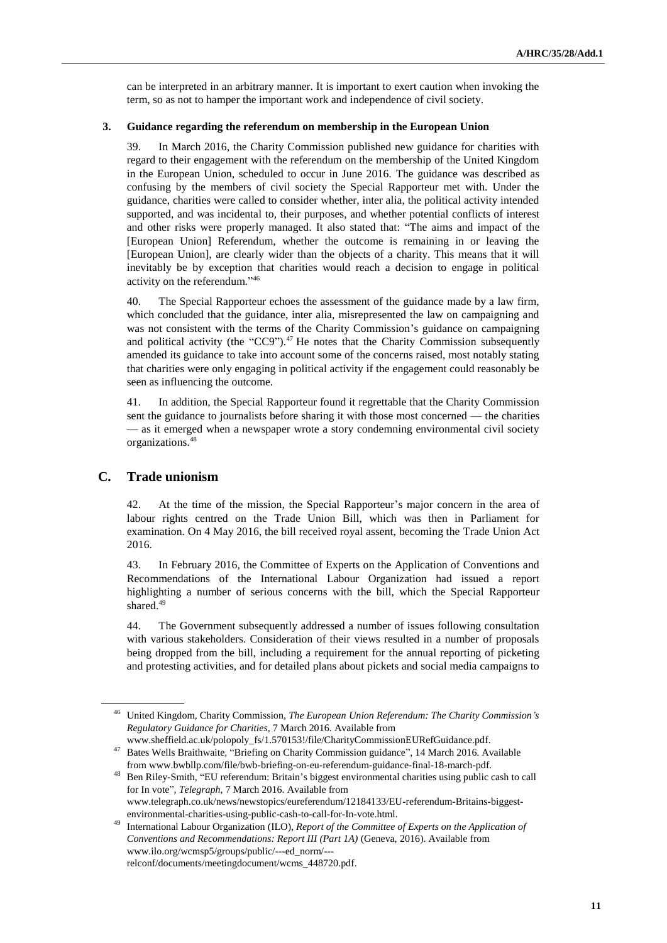can be interpreted in an arbitrary manner. It is important to exert caution when invoking the term, so as not to hamper the important work and independence of civil society.

#### **3. Guidance regarding the referendum on membership in the European Union**

39. In March 2016, the Charity Commission published new guidance for charities with regard to their engagement with the referendum on the membership of the United Kingdom in the European Union, scheduled to occur in June 2016. The guidance was described as confusing by the members of civil society the Special Rapporteur met with. Under the guidance, charities were called to consider whether, inter alia, the political activity intended supported, and was incidental to, their purposes, and whether potential conflicts of interest and other risks were properly managed. It also stated that: "The aims and impact of the [European Union] Referendum, whether the outcome is remaining in or leaving the [European Union], are clearly wider than the objects of a charity. This means that it will inevitably be by exception that charities would reach a decision to engage in political activity on the referendum." 46

40. The Special Rapporteur echoes the assessment of the guidance made by a law firm, which concluded that the guidance, inter alia, misrepresented the law on campaigning and was not consistent with the terms of the Charity Commission's guidance on campaigning and political activity (the "CC9"). $47$  He notes that the Charity Commission subsequently amended its guidance to take into account some of the concerns raised, most notably stating that charities were only engaging in political activity if the engagement could reasonably be seen as influencing the outcome.

41. In addition, the Special Rapporteur found it regrettable that the Charity Commission sent the guidance to journalists before sharing it with those most concerned — the charities — as it emerged when a newspaper wrote a story condemning environmental civil society organizations.<sup>48</sup>

## **C. Trade unionism**

42. At the time of the mission, the Special Rapporteur's major concern in the area of labour rights centred on the Trade Union Bill, which was then in Parliament for examination. On 4 May 2016, the bill received royal assent, becoming the Trade Union Act 2016.

43. In February 2016, the Committee of Experts on the Application of Conventions and Recommendations of the International Labour Organization had issued a report highlighting a number of serious concerns with the bill, which the Special Rapporteur shared.<sup>49</sup>

44. The Government subsequently addressed a number of issues following consultation with various stakeholders. Consideration of their views resulted in a number of proposals being dropped from the bill, including a requirement for the annual reporting of picketing and protesting activities, and for detailed plans about pickets and social media campaigns to

<sup>46</sup> United Kingdom, Charity Commission, *The European Union Referendum: The Charity Commission's Regulatory Guidance for Charities*, 7 March 2016. Available from

www.sheffield.ac.uk/polopoly\_fs/1.570153!/file/CharityCommissionEURefGuidance.pdf.

<sup>47</sup> Bates Wells Braithwaite, "Briefing on Charity Commission guidance", 14 March 2016. Available from [www.bwbllp.com/file/bwb-briefing-on-eu-referendum-guidance-final-18-march-pdf.](http://www.bwbllp.com/file/bwb-briefing-on-eu-referendum-guidance-final-18-march-pdf)

<sup>48</sup> Ben Riley-Smith, "EU referendum: Britain's biggest environmental charities using public cash to call for In vote", *Telegraph*, 7 March 2016. Available from

[www.telegraph.co.uk/news/newstopics/eureferendum/12184133/EU-referendum-Britains-biggest](http://www.telegraph.co.uk/news/newstopics/eureferendum/12184133/EU-referendum-Britains-biggest-environmental-charities-using-public-cash-to-call-for-In-vote.html)[environmental-charities-using-public-cash-to-call-for-In-vote.html.](http://www.telegraph.co.uk/news/newstopics/eureferendum/12184133/EU-referendum-Britains-biggest-environmental-charities-using-public-cash-to-call-for-In-vote.html)

<sup>49</sup> International Labour Organization (ILO), *Report of the Committee of Experts on the Application of Conventions and Recommendations: Report III (Part 1A)* (Geneva, 2016). Available from [www.ilo.org/wcmsp5/groups/public/---ed\\_norm/--](http://www.ilo.org/wcmsp5/groups/public/---ed_norm/---relconf/documents/meetingdocument/wcms_448720.pdf) [relconf/documents/meetingdocument/wcms\\_448720.pdf.](http://www.ilo.org/wcmsp5/groups/public/---ed_norm/---relconf/documents/meetingdocument/wcms_448720.pdf)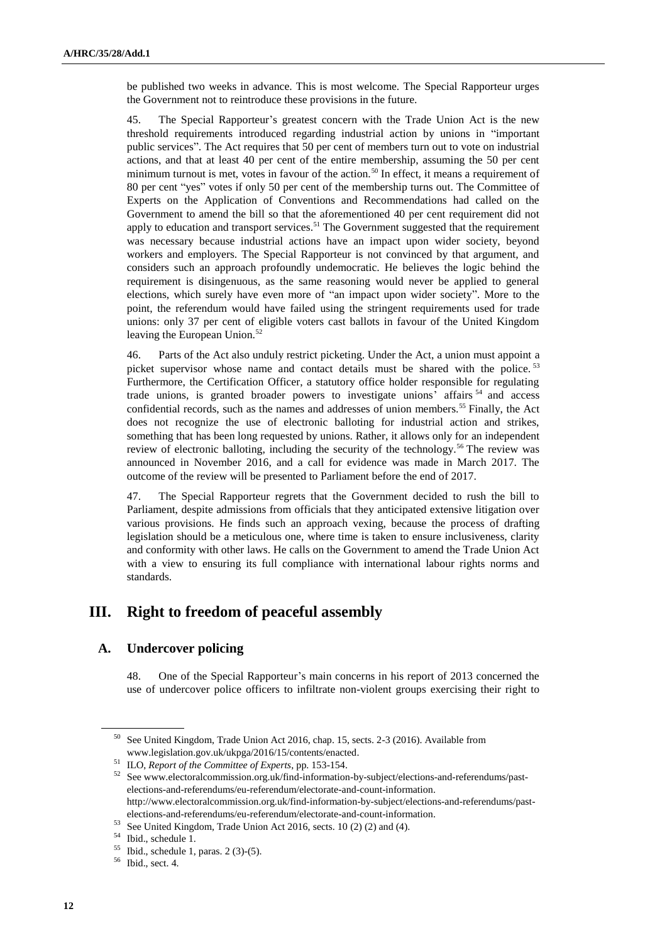be published two weeks in advance. This is most welcome. The Special Rapporteur urges the Government not to reintroduce these provisions in the future.

45. The Special Rapporteur's greatest concern with the Trade Union Act is the new threshold requirements introduced regarding industrial action by unions in "important public services". The Act requires that 50 per cent of members turn out to vote on industrial actions, and that at least 40 per cent of the entire membership, assuming the 50 per cent minimum turnout is met, votes in favour of the action.<sup>50</sup> In effect, it means a requirement of 80 per cent "yes" votes if only 50 per cent of the membership turns out. The Committee of Experts on the Application of Conventions and Recommendations had called on the Government to amend the bill so that the aforementioned 40 per cent requirement did not apply to education and transport services.<sup>51</sup> The Government suggested that the requirement was necessary because industrial actions have an impact upon wider society, beyond workers and employers. The Special Rapporteur is not convinced by that argument, and considers such an approach profoundly undemocratic. He believes the logic behind the requirement is disingenuous, as the same reasoning would never be applied to general elections, which surely have even more of "an impact upon wider society". More to the point, the referendum would have failed using the stringent requirements used for trade unions: only 37 per cent of eligible voters cast ballots in favour of the United Kingdom leaving the European Union.<sup>52</sup>

46. Parts of the Act also unduly restrict picketing. Under the Act, a union must appoint a picket supervisor whose name and contact details must be shared with the police.<sup>53</sup> Furthermore, the Certification Officer, a statutory office holder responsible for regulating trade unions, is granted broader powers to investigate unions' affairs <sup>54</sup> and access confidential records, such as the names and addresses of union members.<sup>55</sup> Finally, the Act does not recognize the use of electronic balloting for industrial action and strikes, something that has been long requested by unions. Rather, it allows only for an independent review of electronic balloting, including the security of the technology.<sup>56</sup> The review was announced in November 2016, and a call for evidence was made in March 2017. The outcome of the review will be presented to Parliament before the end of 2017.

47. The Special Rapporteur regrets that the Government decided to rush the bill to Parliament, despite admissions from officials that they anticipated extensive litigation over various provisions. He finds such an approach vexing, because the process of drafting legislation should be a meticulous one, where time is taken to ensure inclusiveness, clarity and conformity with other laws. He calls on the Government to amend the Trade Union Act with a view to ensuring its full compliance with international labour rights norms and standards.

# **III. Right to freedom of peaceful assembly**

## **A. Undercover policing**

48. One of the Special Rapporteur's main concerns in his report of 2013 concerned the use of undercover police officers to infiltrate non-violent groups exercising their right to

<sup>52</sup> Se[e www.electoralcommission.org.uk/find-information-by-subject/elections-and-referendums/past](http://www.electoralcommission.org.uk/find-information-by-subject/elections-and-referendums/past-elections-and-referendums/eu-referendum/electorate-and-count-information)[elections-and-referendums/eu-referendum/electorate-and-count-information.](http://www.electoralcommission.org.uk/find-information-by-subject/elections-and-referendums/past-elections-and-referendums/eu-referendum/electorate-and-count-information) http://www.electoralcommission.org.uk/find-information-by-subject/elections-and-referendums/pastelections-and-referendums/eu-referendum/electorate-and-count-information.

<sup>50</sup> See United Kingdom, Trade Union Act 2016, chap. 15, sects. 2-3 (2016). Available from [www.legislation.gov.uk/ukpga/2016/15/contents/enacted.](http://www.legislation.gov.uk/ukpga/2016/15/contents/enacted) 

<sup>51</sup> ILO, *Report of the Committee of Experts*, pp. 153-154.

<sup>53</sup> See United Kingdom, Trade Union Act 2016, sects. 10 (2) (2) and (4).

 $^{54}$  Ibid., schedule 1.<br> $^{55}$  Ibid., schedule 1.

<sup>55</sup> Ibid., schedule 1, paras. 2 (3)-(5).

<sup>56</sup> Ibid., sect. 4.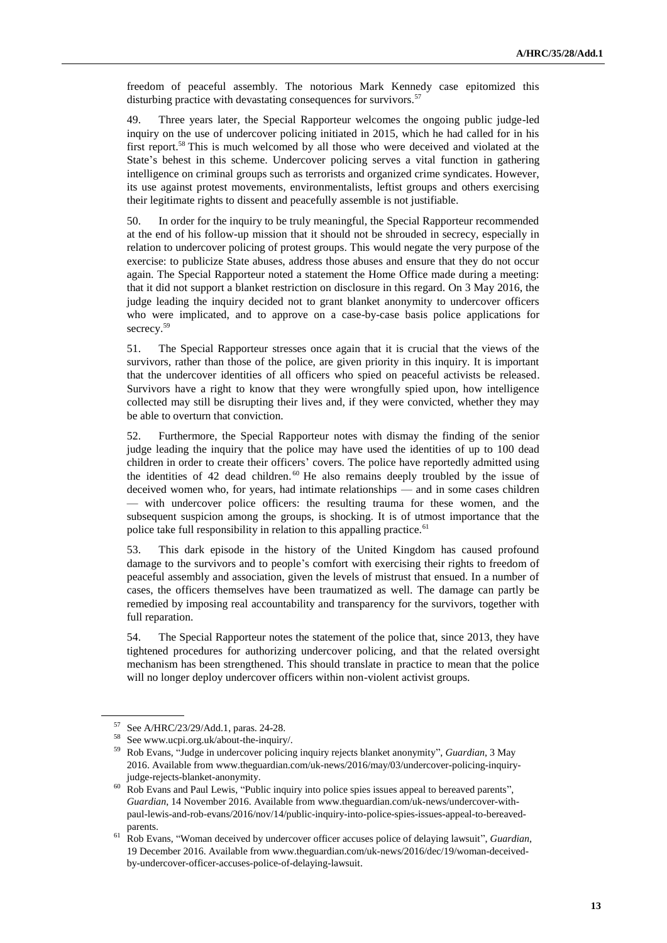freedom of peaceful assembly. The notorious Mark Kennedy case epitomized this disturbing practice with devastating consequences for survivors.<sup>57</sup>

49. Three years later, the Special Rapporteur welcomes the ongoing public judge-led inquiry on the use of undercover policing initiated in 2015, which he had called for in his first report.<sup>58</sup> This is much welcomed by all those who were deceived and violated at the State's behest in this scheme. Undercover policing serves a vital function in gathering intelligence on criminal groups such as terrorists and organized crime syndicates. However, its use against protest movements, environmentalists, leftist groups and others exercising their legitimate rights to dissent and peacefully assemble is not justifiable.

50. In order for the inquiry to be truly meaningful, the Special Rapporteur recommended at the end of his follow-up mission that it should not be shrouded in secrecy, especially in relation to undercover policing of protest groups. This would negate the very purpose of the exercise: to publicize State abuses, address those abuses and ensure that they do not occur again. The Special Rapporteur noted a statement the Home Office made during a meeting: that it did not support a blanket restriction on disclosure in this regard. On 3 May 2016, the judge leading the inquiry decided not to grant blanket anonymity to undercover officers who were implicated, and to approve on a case-by-case basis police applications for secrecy.<sup>59</sup>

51. The Special Rapporteur stresses once again that it is crucial that the views of the survivors, rather than those of the police, are given priority in this inquiry. It is important that the undercover identities of all officers who spied on peaceful activists be released. Survivors have a right to know that they were wrongfully spied upon, how intelligence collected may still be disrupting their lives and, if they were convicted, whether they may be able to overturn that conviction.

52. Furthermore, the Special Rapporteur notes with dismay the finding of the senior judge leading the inquiry that the police may have used the identities of up to 100 dead children in order to create their officers' covers. The police have reportedly admitted using the identities of 42 dead children.<sup>60</sup> He also remains deeply troubled by the issue of deceived women who, for years, had intimate relationships — and in some cases children — with undercover police officers: the resulting trauma for these women, and the subsequent suspicion among the groups, is shocking. It is of utmost importance that the police take full responsibility in relation to this appalling practice.<sup>61</sup>

53. This dark episode in the history of the United Kingdom has caused profound damage to the survivors and to people's comfort with exercising their rights to freedom of peaceful assembly and association, given the levels of mistrust that ensued. In a number of cases, the officers themselves have been traumatized as well. The damage can partly be remedied by imposing real accountability and transparency for the survivors, together with full reparation.

54. The Special Rapporteur notes the statement of the police that, since 2013, they have tightened procedures for authorizing undercover policing, and that the related oversight mechanism has been strengthened. This should translate in practice to mean that the police will no longer deploy undercover officers within non-violent activist groups.

<sup>57</sup> See A/HRC/23/29/Add.1, paras. 24-28.

<sup>58</sup> See www.ucpi.org.uk/about-the-inquiry/.

<sup>59</sup> Rob Evans, "Judge in undercover policing inquiry rejects blanket anonymity", *Guardian*, 3 May 2016. Available from www.theguardian.com/uk-news/2016/may/03/undercover-policing-inquiryjudge-rejects-blanket-anonymity.

<sup>60</sup> Rob Evans and Paul Lewis, "Public inquiry into police spies issues appeal to bereaved parents", *Guardian*, 14 November 2016. Available from www.theguardian.com/uk-news/undercover-withpaul-lewis-and-rob-evans/2016/nov/14/public-inquiry-into-police-spies-issues-appeal-to-bereavedparents.

<sup>61</sup> Rob Evans, "Woman deceived by undercover officer accuses police of delaying lawsuit", *Guardian*, 19 December 2016. Available from www.theguardian.com/uk-news/2016/dec/19/woman-deceivedby-undercover-officer-accuses-police-of-delaying-lawsuit.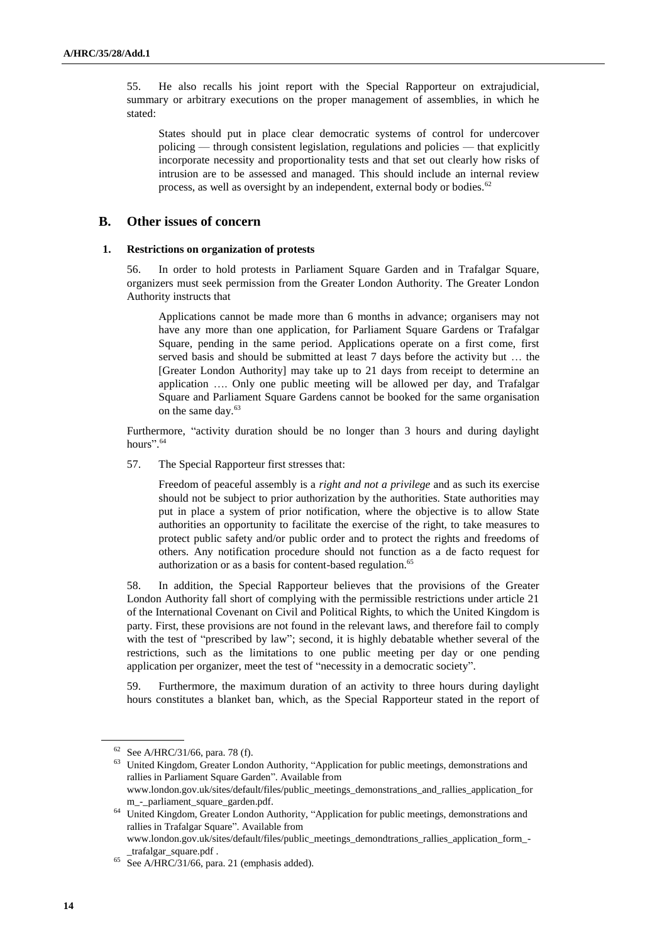55. He also recalls his joint report with the Special Rapporteur on extrajudicial, summary or arbitrary executions on the proper management of assemblies, in which he stated:

States should put in place clear democratic systems of control for undercover policing — through consistent legislation, regulations and policies — that explicitly incorporate necessity and proportionality tests and that set out clearly how risks of intrusion are to be assessed and managed. This should include an internal review process, as well as oversight by an independent, external body or bodies.<sup>62</sup>

## **B. Other issues of concern**

## **1. Restrictions on organization of protests**

56. In order to hold protests in Parliament Square Garden and in Trafalgar Square, organizers must seek permission from the Greater London Authority. The Greater London Authority instructs that

Applications cannot be made more than 6 months in advance; organisers may not have any more than one application, for Parliament Square Gardens or Trafalgar Square, pending in the same period. Applications operate on a first come, first served basis and should be submitted at least 7 days before the activity but … the [Greater London Authority] may take up to 21 days from receipt to determine an application …. Only one public meeting will be allowed per day, and Trafalgar Square and Parliament Square Gardens cannot be booked for the same organisation on the same day.<sup>63</sup>

Furthermore, "activity duration should be no longer than 3 hours and during daylight hours".<sup>64</sup>

57. The Special Rapporteur first stresses that:

Freedom of peaceful assembly is a *right and not a privilege* and as such its exercise should not be subject to prior authorization by the authorities. State authorities may put in place a system of prior notification, where the objective is to allow State authorities an opportunity to facilitate the exercise of the right, to take measures to protect public safety and/or public order and to protect the rights and freedoms of others. Any notification procedure should not function as a de facto request for authorization or as a basis for content-based regulation.<sup>65</sup>

58. In addition, the Special Rapporteur believes that the provisions of the Greater London Authority fall short of complying with the permissible restrictions under article 21 of the International Covenant on Civil and Political Rights, to which the United Kingdom is party. First, these provisions are not found in the relevant laws, and therefore fail to comply with the test of "prescribed by law"; second, it is highly debatable whether several of the restrictions, such as the limitations to one public meeting per day or one pending application per organizer, meet the test of "necessity in a democratic society".

59. Furthermore, the maximum duration of an activity to three hours during daylight hours constitutes a blanket ban, which, as the Special Rapporteur stated in the report of

<sup>62</sup> See A/HRC/31/66, para. 78 (f).

<sup>&</sup>lt;sup>63</sup> United Kingdom, Greater London Authority, "Application for public meetings, demonstrations and rallies in Parliament Square Garden". Available from www.london.gov.uk/sites/default/files/public\_meetings\_demonstrations\_and\_rallies\_application\_for m\_-\_parliament\_square\_garden.pdf.

<sup>&</sup>lt;sup>64</sup> United Kingdom, Greater London Authority, "Application for public meetings, demonstrations and rallies in Trafalgar Square". Available from www.london.gov.uk/sites/default/files/public\_meetings\_demondtrations\_rallies\_application\_form\_-

\_trafalgar\_square.pdf .  $65$  See A/HRC/31/66, para. 21 (emphasis added).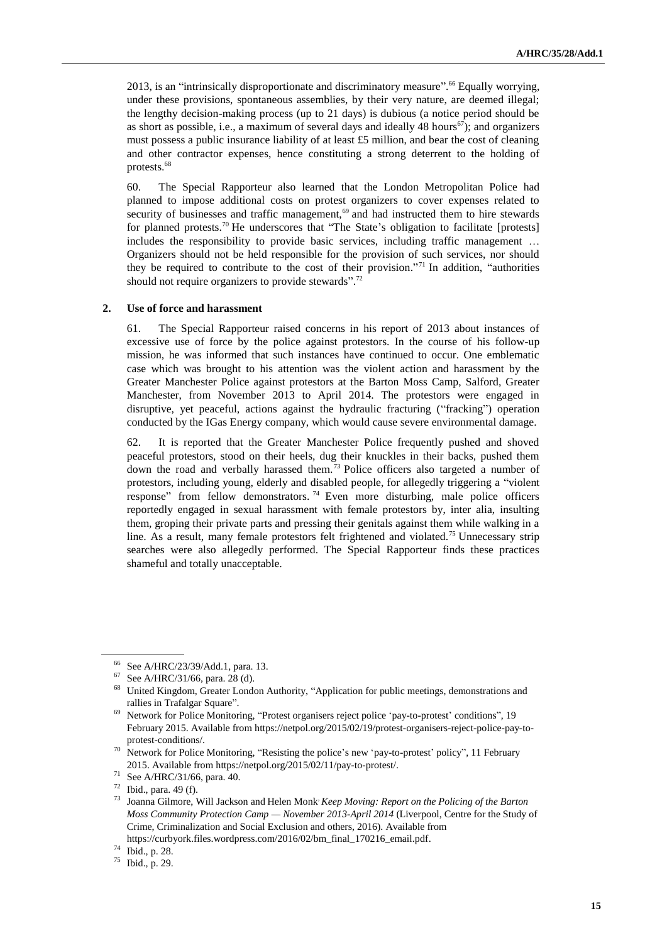2013, is an "intrinsically disproportionate and discriminatory measure". <sup>66</sup> Equally worrying, under these provisions, spontaneous assemblies, by their very nature, are deemed illegal; the lengthy decision-making process (up to 21 days) is dubious (a notice period should be as short as possible, i.e., a maximum of several days and ideally 48 hours $67$ ); and organizers must possess a public insurance liability of at least £5 million, and bear the cost of cleaning and other contractor expenses, hence constituting a strong deterrent to the holding of protests.<sup>68</sup>

60. The Special Rapporteur also learned that the London Metropolitan Police had planned to impose additional costs on protest organizers to cover expenses related to security of businesses and traffic management,<sup>69</sup> and had instructed them to hire stewards for planned protests.<sup>70</sup> He underscores that "The State's obligation to facilitate [protests] includes the responsibility to provide basic services, including traffic management … Organizers should not be held responsible for the provision of such services, nor should they be required to contribute to the cost of their provision."<sup>71</sup> In addition, "authorities should not require organizers to provide stewards".<sup>72</sup>

#### **2. Use of force and harassment**

61. The Special Rapporteur raised concerns in his report of 2013 about instances of excessive use of force by the police against protestors. In the course of his follow-up mission, he was informed that such instances have continued to occur. One emblematic case which was brought to his attention was the violent action and harassment by the Greater Manchester Police against protestors at the Barton Moss Camp, Salford, Greater Manchester, from November 2013 to April 2014. The protestors were engaged in disruptive, yet peaceful, actions against the hydraulic fracturing ("fracking") operation conducted by the IGas Energy company, which would cause severe environmental damage.

62. It is reported that the Greater Manchester Police frequently pushed and shoved peaceful protestors, stood on their heels, dug their knuckles in their backs, pushed them down the road and verbally harassed them.<sup>73</sup> Police officers also targeted a number of protestors, including young, elderly and disabled people, for allegedly triggering a "violent response" from fellow demonstrators.<sup>74</sup> Even more disturbing, male police officers reportedly engaged in sexual harassment with female protestors by, inter alia, insulting them, groping their private parts and pressing their genitals against them while walking in a line. As a result, many female protestors felt frightened and violated.<sup>75</sup> Unnecessary strip searches were also allegedly performed. The Special Rapporteur finds these practices shameful and totally unacceptable.

<sup>66</sup> See A/HRC/23/39/Add.1, para. 13.

<sup>67</sup> See A/HRC/31/66, para. 28 (d).

<sup>&</sup>lt;sup>68</sup> United Kingdom, Greater London Authority, "Application for public meetings, demonstrations and rallies in Trafalgar Square".

<sup>&</sup>lt;sup>69</sup> Network for Police Monitoring, "Protest organisers reject police 'pay-to-protest' conditions", 19 February 2015. Available fro[m https://netpol.org/2015/02/19/protest-organisers-reject-police-pay-to](https://netpol.org/2015/02/19/protest-organisers-reject-police-pay-to-protest-conditions/)[protest-conditions/.](https://netpol.org/2015/02/19/protest-organisers-reject-police-pay-to-protest-conditions/)

<sup>&</sup>lt;sup>70</sup> Network for Police Monitoring, "Resisting the police's new 'pay-to-protest' policy", 11 February 2015. Available from [https://netpol.org/2015/02/11/pay-to-protest/.](https://netpol.org/2015/02/11/pay-to-protest/)

<sup>&</sup>lt;sup>71</sup> See A/HRC/31/66, para. 40.

<sup>72</sup> Ibid., para. 49 (f).

<sup>&</sup>lt;sup>73</sup> Joanna Gilmore, Will Jackson and Helen Monk' *Keep Moving: Report on the Policing of the Barton Moss Community Protection Camp — November 2013-April 2014* (Liverpool, Centre for the Study of Crime, Criminalization and Social Exclusion and others, 2016). Available from [https://curbyork.files.wordpress.com/2016/02/bm\\_final\\_170216\\_email.pdf.](https://curbyork.files.wordpress.com/2016/02/bm_final_170216_email.pdf)

<sup>74</sup> Ibid., p. 28.

<sup>75</sup> Ibid., p. 29.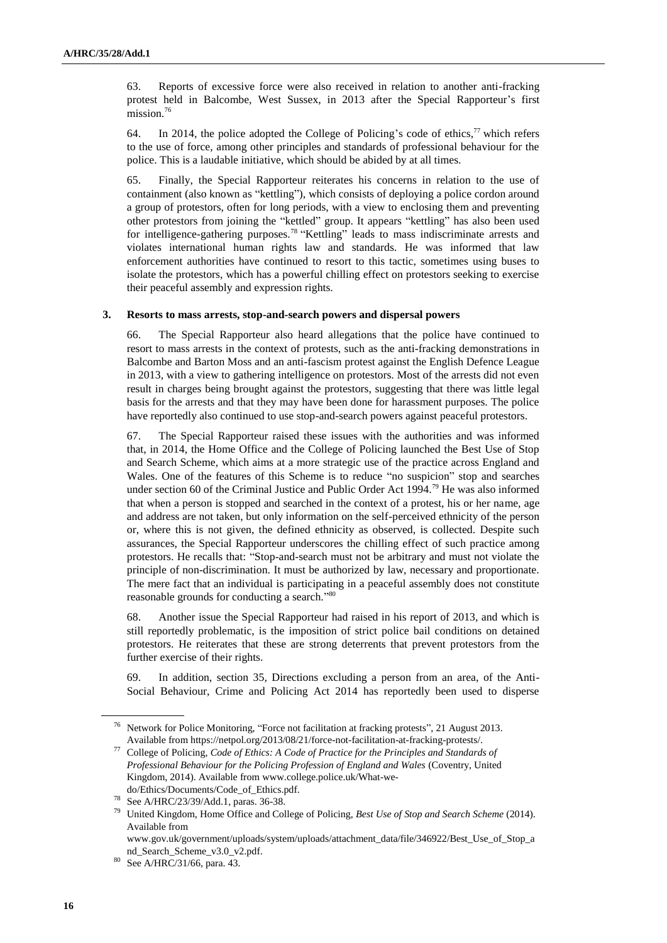63. Reports of excessive force were also received in relation to another anti-fracking protest held in Balcombe, West Sussex, in 2013 after the Special Rapporteur's first mission.<sup>76</sup>

64. In 2014, the police adopted the College of Policing's code of ethics,  $\frac{1}{2}$  which refers to the use of force, among other principles and standards of professional behaviour for the police. This is a laudable initiative, which should be abided by at all times.

65. Finally, the Special Rapporteur reiterates his concerns in relation to the use of containment (also known as "kettling"), which consists of deploying a police cordon around a group of protestors, often for long periods, with a view to enclosing them and preventing other protestors from joining the "kettled" group. It appears "kettling" has also been used for intelligence-gathering purposes.<sup>78</sup> "Kettling" leads to mass indiscriminate arrests and violates international human rights law and standards. He was informed that law enforcement authorities have continued to resort to this tactic, sometimes using buses to isolate the protestors, which has a powerful chilling effect on protestors seeking to exercise their peaceful assembly and expression rights.

## **3. Resorts to mass arrests, stop-and-search powers and dispersal powers**

66. The Special Rapporteur also heard allegations that the police have continued to resort to mass arrests in the context of protests, such as the anti-fracking demonstrations in Balcombe and Barton Moss and an anti-fascism protest against the English Defence League in 2013, with a view to gathering intelligence on protestors. Most of the arrests did not even result in charges being brought against the protestors, suggesting that there was little legal basis for the arrests and that they may have been done for harassment purposes. The police have reportedly also continued to use stop-and-search powers against peaceful protestors.

67. The Special Rapporteur raised these issues with the authorities and was informed that, in 2014, the Home Office and the College of Policing launched the Best Use of Stop and Search Scheme, which aims at a more strategic use of the practice across England and Wales. One of the features of this Scheme is to reduce "no suspicion" stop and searches under section 60 of the Criminal Justice and Public Order Act 1994.<sup>79</sup> He was also informed that when a person is stopped and searched in the context of a protest, his or her name, age and address are not taken, but only information on the self-perceived ethnicity of the person or, where this is not given, the defined ethnicity as observed, is collected. Despite such assurances, the Special Rapporteur underscores the chilling effect of such practice among protestors. He recalls that: "Stop-and-search must not be arbitrary and must not violate the principle of non-discrimination. It must be authorized by law, necessary and proportionate. The mere fact that an individual is participating in a peaceful assembly does not constitute reasonable grounds for conducting a search."80

68. Another issue the Special Rapporteur had raised in his report of 2013, and which is still reportedly problematic, is the imposition of strict police bail conditions on detained protestors. He reiterates that these are strong deterrents that prevent protestors from the further exercise of their rights.

In addition, section 35, Directions excluding a person from an area, of the Anti-Social Behaviour, Crime and Policing Act 2014 has reportedly been used to disperse

<sup>76</sup> Network for Police Monitoring, "Force not facilitation at fracking protests", 21 August 2013. Available fro[m https://netpol.org/2013/08/21/force-not-facilitation-at-fracking-protests/.](https://netpol.org/2013/08/21/force-not-facilitation-at-fracking-protests/)

<sup>77</sup> College of Policing, *Code of Ethics: A Code of Practice for the Principles and Standards of Professional Behaviour for the Policing Profession of England and Wales* (Coventry, United Kingdom, 2014). Available from [www.college.police.uk/What-we](http://www.college.police.uk/What-we-do/Ethics/Documents/Code_of_Ethics.pdf)[do/Ethics/Documents/Code\\_of\\_Ethics.pdf.](http://www.college.police.uk/What-we-do/Ethics/Documents/Code_of_Ethics.pdf)

<sup>78</sup> See A/HRC/23/39/Add.1, paras. 36-38.

<sup>79</sup> United Kingdom, Home Office and College of Policing, *Best Use of Stop and Search Scheme* (2014). Available from

www.gov.uk/government/uploads/system/uploads/attachment\_data/file/346922/Best\_Use\_of\_Stop\_a nd\_Search\_Scheme\_v3.0\_v2.pdf.

<sup>80</sup> See A/HRC/31/66, para. 43.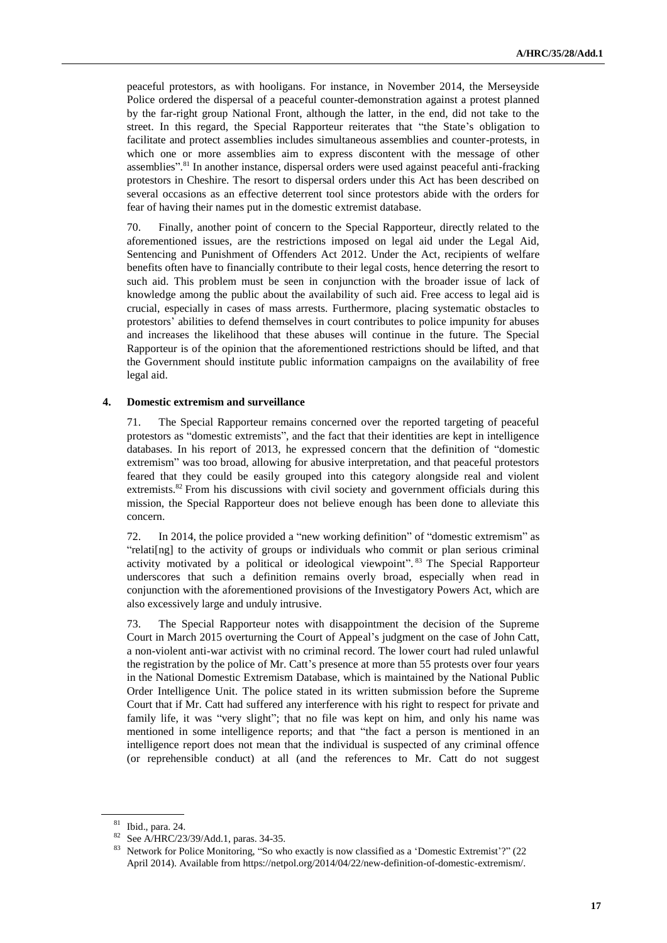peaceful protestors, as with hooligans. For instance, in November 2014, the Merseyside Police ordered the dispersal of a peaceful counter-demonstration against a protest planned by the far-right group National Front, although the latter, in the end, did not take to the street. In this regard, the Special Rapporteur reiterates that "the State's obligation to facilitate and protect assemblies includes simultaneous assemblies and counter-protests, in which one or more assemblies aim to express discontent with the message of other assemblies".<sup>81</sup> In another instance, dispersal orders were used against peaceful anti-fracking protestors in Cheshire. The resort to dispersal orders under this Act has been described on several occasions as an effective deterrent tool since protestors abide with the orders for fear of having their names put in the domestic extremist database.

70. Finally, another point of concern to the Special Rapporteur, directly related to the aforementioned issues, are the restrictions imposed on legal aid under the Legal Aid, Sentencing and Punishment of Offenders Act 2012. Under the Act, recipients of welfare benefits often have to financially contribute to their legal costs, hence deterring the resort to such aid. This problem must be seen in conjunction with the broader issue of lack of knowledge among the public about the availability of such aid. Free access to legal aid is crucial, especially in cases of mass arrests. Furthermore, placing systematic obstacles to protestors' abilities to defend themselves in court contributes to police impunity for abuses and increases the likelihood that these abuses will continue in the future. The Special Rapporteur is of the opinion that the aforementioned restrictions should be lifted, and that the Government should institute public information campaigns on the availability of free legal aid.

## **4. Domestic extremism and surveillance**

71. The Special Rapporteur remains concerned over the reported targeting of peaceful protestors as "domestic extremists", and the fact that their identities are kept in intelligence databases. In his report of 2013, he expressed concern that the definition of "domestic extremism" was too broad, allowing for abusive interpretation, and that peaceful protestors feared that they could be easily grouped into this category alongside real and violent extremists.<sup>82</sup> From his discussions with civil society and government officials during this mission, the Special Rapporteur does not believe enough has been done to alleviate this concern.

72. In 2014, the police provided a "new working definition" of "domestic extremism" as "relati[ng] to the activity of groups or individuals who commit or plan serious criminal activity motivated by a political or ideological viewpoint". <sup>83</sup> The Special Rapporteur underscores that such a definition remains overly broad, especially when read in conjunction with the aforementioned provisions of the Investigatory Powers Act, which are also excessively large and unduly intrusive.

73. The Special Rapporteur notes with disappointment the decision of the Supreme Court in March 2015 overturning the Court of Appeal's judgment on the case of John Catt, a non-violent anti-war activist with no criminal record. The lower court had ruled unlawful the registration by the police of Mr. Catt's presence at more than 55 protests over four years in the National Domestic Extremism Database, which is maintained by the National Public Order Intelligence Unit. The police stated in its written submission before the Supreme Court that if Mr. Catt had suffered any interference with his right to respect for private and family life, it was "very slight"; that no file was kept on him, and only his name was mentioned in some intelligence reports; and that "the fact a person is mentioned in an intelligence report does not mean that the individual is suspected of any criminal offence (or reprehensible conduct) at all (and the references to Mr. Catt do not suggest

<sup>81</sup> Ibid., para. 24.

<sup>82</sup> See A/HRC/23/39/Add.1, paras. 34-35.

Network for Police Monitoring, "So who exactly is now classified as a 'Domestic Extremist'?" (22 April 2014). Available from https://netpol.org/2014/04/22/new-definition-of-domestic-extremism/.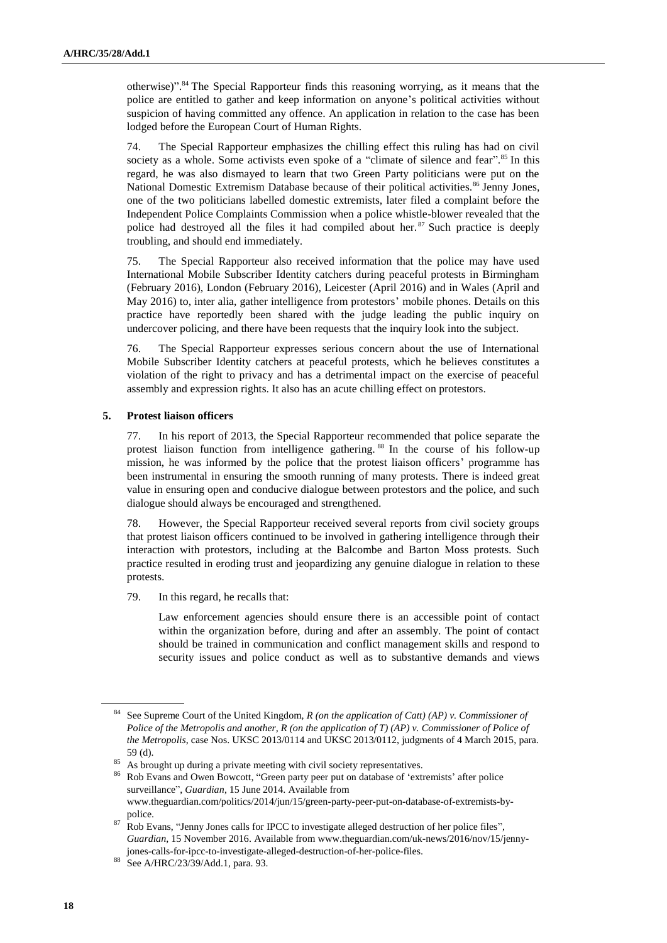otherwise)". <sup>84</sup> The Special Rapporteur finds this reasoning worrying, as it means that the police are entitled to gather and keep information on anyone's political activities without suspicion of having committed any offence. An application in relation to the case has been lodged before the European Court of Human Rights.

74. The Special Rapporteur emphasizes the chilling effect this ruling has had on civil society as a whole. Some activists even spoke of a "climate of silence and fear".<sup>85</sup> In this regard, he was also dismayed to learn that two Green Party politicians were put on the National Domestic Extremism Database because of their political activities.<sup>86</sup> Jenny Jones, one of the two politicians labelled domestic extremists, later filed a complaint before the Independent Police Complaints Commission when a police whistle-blower revealed that the police had destroyed all the files it had compiled about her.<sup>87</sup> Such practice is deeply troubling, and should end immediately.

75. The Special Rapporteur also received information that the police may have used International Mobile Subscriber Identity catchers during peaceful protests in Birmingham (February 2016), London (February 2016), Leicester (April 2016) and in Wales (April and May 2016) to, inter alia, gather intelligence from protestors' mobile phones. Details on this practice have reportedly been shared with the judge leading the public inquiry on undercover policing, and there have been requests that the inquiry look into the subject.

76. The Special Rapporteur expresses serious concern about the use of International Mobile Subscriber Identity catchers at peaceful protests, which he believes constitutes a violation of the right to privacy and has a detrimental impact on the exercise of peaceful assembly and expression rights. It also has an acute chilling effect on protestors.

## **5. Protest liaison officers**

77. In his report of 2013, the Special Rapporteur recommended that police separate the protest liaison function from intelligence gathering. <sup>88</sup> In the course of his follow-up mission, he was informed by the police that the protest liaison officers' programme has been instrumental in ensuring the smooth running of many protests. There is indeed great value in ensuring open and conducive dialogue between protestors and the police, and such dialogue should always be encouraged and strengthened.

78. However, the Special Rapporteur received several reports from civil society groups that protest liaison officers continued to be involved in gathering intelligence through their interaction with protestors, including at the Balcombe and Barton Moss protests. Such practice resulted in eroding trust and jeopardizing any genuine dialogue in relation to these protests.

79. In this regard, he recalls that:

Law enforcement agencies should ensure there is an accessible point of contact within the organization before, during and after an assembly. The point of contact should be trained in communication and conflict management skills and respond to security issues and police conduct as well as to substantive demands and views

<sup>84</sup> See Supreme Court of the United Kingdom, *R (on the application of Catt) (AP) v. Commissioner of Police of the Metropolis and another, R (on the application of T) (AP) v. Commissioner of Police of the Metropolis*, case Nos. UKSC 2013/0114 and UKSC 2013/0112, judgments of 4 March 2015, para. 59 (d).

 $85$  As brought up during a private meeting with civil society representatives.

<sup>86</sup> Rob Evans and Owen Bowcott, "Green party peer put on database of 'extremists' after police surveillance", *Guardian*, 15 June 2014. Available from www.theguardian.com/politics/2014/jun/15/green-party-peer-put-on-database-of-extremists-bypolice.

<sup>&</sup>lt;sup>87</sup> Rob Evans, "Jenny Jones calls for IPCC to investigate alleged destruction of her police files", *Guardian*, 15 November 2016. Available from www.theguardian.com/uk-news/2016/nov/15/jennyjones-calls-for-ipcc-to-investigate-alleged-destruction-of-her-police-files.

<sup>88</sup> See A/HRC/23/39/Add.1, para. 93.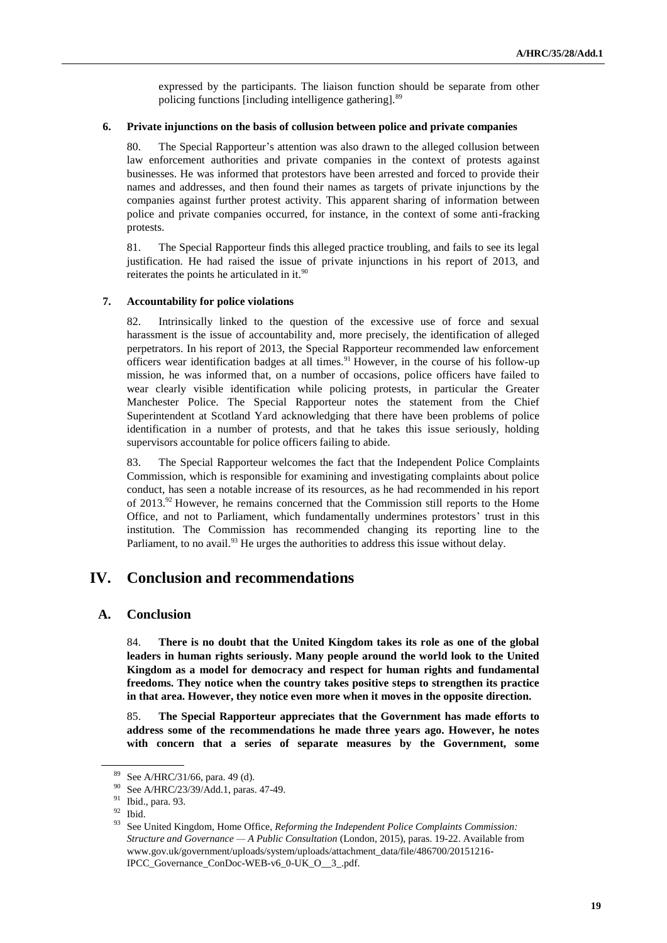expressed by the participants. The liaison function should be separate from other policing functions [including intelligence gathering].<sup>89</sup>

#### **6. Private injunctions on the basis of collusion between police and private companies**

80. The Special Rapporteur's attention was also drawn to the alleged collusion between law enforcement authorities and private companies in the context of protests against businesses. He was informed that protestors have been arrested and forced to provide their names and addresses, and then found their names as targets of private injunctions by the companies against further protest activity. This apparent sharing of information between police and private companies occurred, for instance, in the context of some anti-fracking protests.

81. The Special Rapporteur finds this alleged practice troubling, and fails to see its legal justification. He had raised the issue of private injunctions in his report of 2013, and reiterates the points he articulated in it.<sup>90</sup>

#### **7. Accountability for police violations**

82. Intrinsically linked to the question of the excessive use of force and sexual harassment is the issue of accountability and, more precisely, the identification of alleged perpetrators. In his report of 2013, the Special Rapporteur recommended law enforcement officers wear identification badges at all times.<sup>91</sup> However, in the course of his follow-up mission, he was informed that, on a number of occasions, police officers have failed to wear clearly visible identification while policing protests, in particular the Greater Manchester Police. The Special Rapporteur notes the statement from the Chief Superintendent at Scotland Yard acknowledging that there have been problems of police identification in a number of protests, and that he takes this issue seriously, holding supervisors accountable for police officers failing to abide.

83. The Special Rapporteur welcomes the fact that the Independent Police Complaints Commission, which is responsible for examining and investigating complaints about police conduct, has seen a notable increase of its resources, as he had recommended in his report of  $2013.^{92}$  However, he remains concerned that the Commission still reports to the Home Office, and not to Parliament, which fundamentally undermines protestors' trust in this institution. The Commission has recommended changing its reporting line to the Parliament, to no avail.<sup>93</sup> He urges the authorities to address this issue without delay.

# **IV. Conclusion and recommendations**

## **A. Conclusion**

84. **There is no doubt that the United Kingdom takes its role as one of the global leaders in human rights seriously. Many people around the world look to the United Kingdom as a model for democracy and respect for human rights and fundamental freedoms. They notice when the country takes positive steps to strengthen its practice in that area. However, they notice even more when it moves in the opposite direction.**

85. **The Special Rapporteur appreciates that the Government has made efforts to address some of the recommendations he made three years ago. However, he notes with concern that a series of separate measures by the Government, some** 

<sup>89</sup> See A/HRC/31/66, para. 49 (d).

<sup>90</sup> See A/HRC/23/39/Add.1, paras. 47-49.

<sup>91</sup> Ibid., para. 93.

 $92$  Ibid.

<sup>93</sup> See United Kingdom, Home Office, *Reforming the Independent Police Complaints Commission: Structure and Governance — A Public Consultation* (London, 2015), paras. 19-22. Available from www.gov.uk/government/uploads/system/uploads/attachment\_data/file/486700/20151216- IPCC\_Governance\_ConDoc-WEB-v6\_0-UK\_O\_\_3\_.pdf.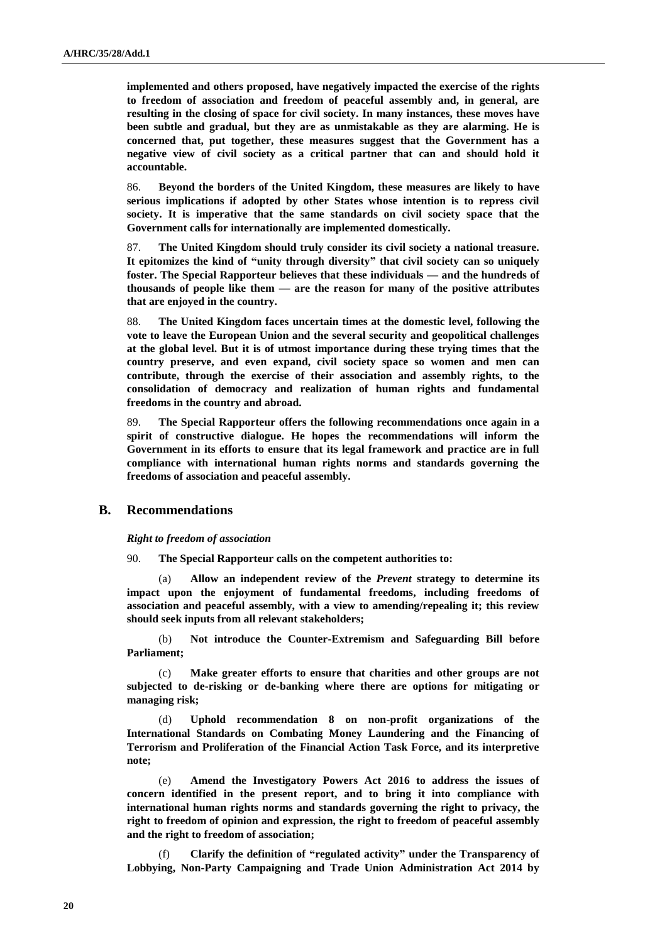**implemented and others proposed, have negatively impacted the exercise of the rights to freedom of association and freedom of peaceful assembly and, in general, are resulting in the closing of space for civil society. In many instances, these moves have been subtle and gradual, but they are as unmistakable as they are alarming. He is concerned that, put together, these measures suggest that the Government has a negative view of civil society as a critical partner that can and should hold it accountable.** 

86. **Beyond the borders of the United Kingdom, these measures are likely to have serious implications if adopted by other States whose intention is to repress civil society. It is imperative that the same standards on civil society space that the Government calls for internationally are implemented domestically.**

87. **The United Kingdom should truly consider its civil society a national treasure. It epitomizes the kind of "unity through diversity" that civil society can so uniquely foster. The Special Rapporteur believes that these individuals — and the hundreds of thousands of people like them — are the reason for many of the positive attributes that are enjoyed in the country.**

88. **The United Kingdom faces uncertain times at the domestic level, following the vote to leave the European Union and the several security and geopolitical challenges at the global level. But it is of utmost importance during these trying times that the country preserve, and even expand, civil society space so women and men can contribute, through the exercise of their association and assembly rights, to the consolidation of democracy and realization of human rights and fundamental freedoms in the country and abroad.**

89. **The Special Rapporteur offers the following recommendations once again in a spirit of constructive dialogue. He hopes the recommendations will inform the Government in its efforts to ensure that its legal framework and practice are in full compliance with international human rights norms and standards governing the freedoms of association and peaceful assembly.** 

## **B. Recommendations**

*Right to freedom of association*

90. **The Special Rapporteur calls on the competent authorities to:** 

(a) **Allow an independent review of the** *Prevent* **strategy to determine its impact upon the enjoyment of fundamental freedoms, including freedoms of association and peaceful assembly, with a view to amending/repealing it; this review should seek inputs from all relevant stakeholders;**

(b) **Not introduce the Counter-Extremism and Safeguarding Bill before Parliament;**

(c) **Make greater efforts to ensure that charities and other groups are not subjected to de-risking or de-banking where there are options for mitigating or managing risk;**

(d) **Uphold recommendation 8 on non-profit organizations of the International Standards on Combating Money Laundering and the Financing of Terrorism and Proliferation of the Financial Action Task Force, and its interpretive note;**

(e) **Amend the Investigatory Powers Act 2016 to address the issues of concern identified in the present report, and to bring it into compliance with international human rights norms and standards governing the right to privacy, the right to freedom of opinion and expression, the right to freedom of peaceful assembly and the right to freedom of association;**

(f) **Clarify the definition of "regulated activity" under the Transparency of Lobbying, Non-Party Campaigning and Trade Union Administration Act 2014 by**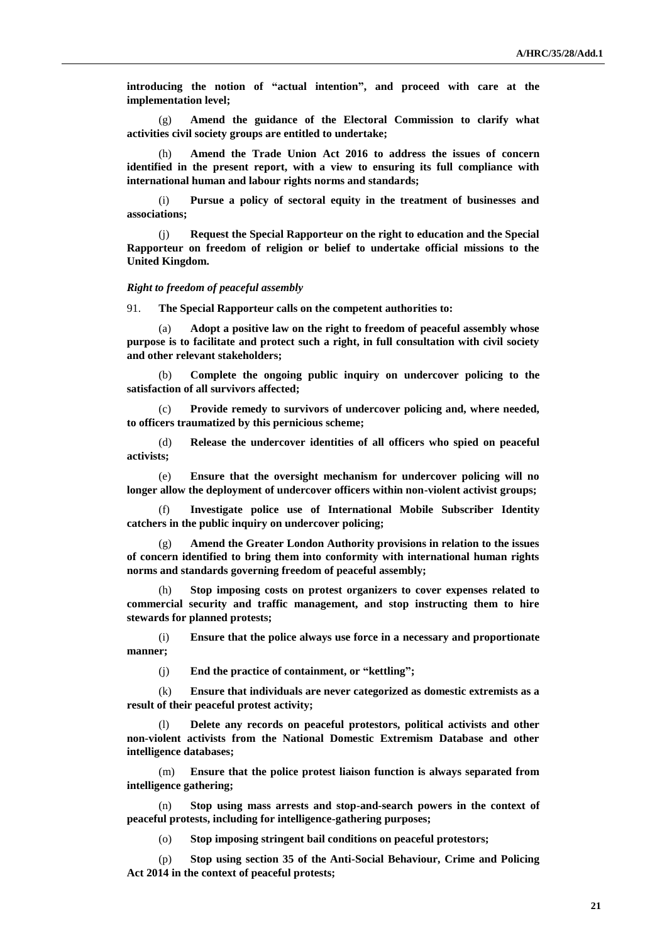**introducing the notion of "actual intention", and proceed with care at the implementation level;**

(g) **Amend the guidance of the Electoral Commission to clarify what activities civil society groups are entitled to undertake;**

(h) **Amend the Trade Union Act 2016 to address the issues of concern identified in the present report, with a view to ensuring its full compliance with international human and labour rights norms and standards;**

(i) **Pursue a policy of sectoral equity in the treatment of businesses and associations;**

(j) **Request the Special Rapporteur on the right to education and the Special Rapporteur on freedom of religion or belief to undertake official missions to the United Kingdom.**

#### *Right to freedom of peaceful assembly*

91. **The Special Rapporteur calls on the competent authorities to:** 

(a) **Adopt a positive law on the right to freedom of peaceful assembly whose purpose is to facilitate and protect such a right, in full consultation with civil society and other relevant stakeholders;**

(b) **Complete the ongoing public inquiry on undercover policing to the satisfaction of all survivors affected;**

(c) **Provide remedy to survivors of undercover policing and, where needed, to officers traumatized by this pernicious scheme;**

(d) **Release the undercover identities of all officers who spied on peaceful activists;**

(e) **Ensure that the oversight mechanism for undercover policing will no longer allow the deployment of undercover officers within non-violent activist groups;**

(f) **Investigate police use of International Mobile Subscriber Identity catchers in the public inquiry on undercover policing;**

(g) **Amend the Greater London Authority provisions in relation to the issues of concern identified to bring them into conformity with international human rights norms and standards governing freedom of peaceful assembly;**

(h) **Stop imposing costs on protest organizers to cover expenses related to commercial security and traffic management, and stop instructing them to hire stewards for planned protests;**

(i) **Ensure that the police always use force in a necessary and proportionate manner;**

(j) **End the practice of containment, or "kettling";** 

(k) **Ensure that individuals are never categorized as domestic extremists as a result of their peaceful protest activity;**

(l) **Delete any records on peaceful protestors, political activists and other non-violent activists from the National Domestic Extremism Database and other intelligence databases;**

(m) **Ensure that the police protest liaison function is always separated from intelligence gathering;**

(n) **Stop using mass arrests and stop-and-search powers in the context of peaceful protests, including for intelligence-gathering purposes;**

(o) **Stop imposing stringent bail conditions on peaceful protestors;** 

(p) **Stop using section 35 of the Anti-Social Behaviour, Crime and Policing Act 2014 in the context of peaceful protests;**